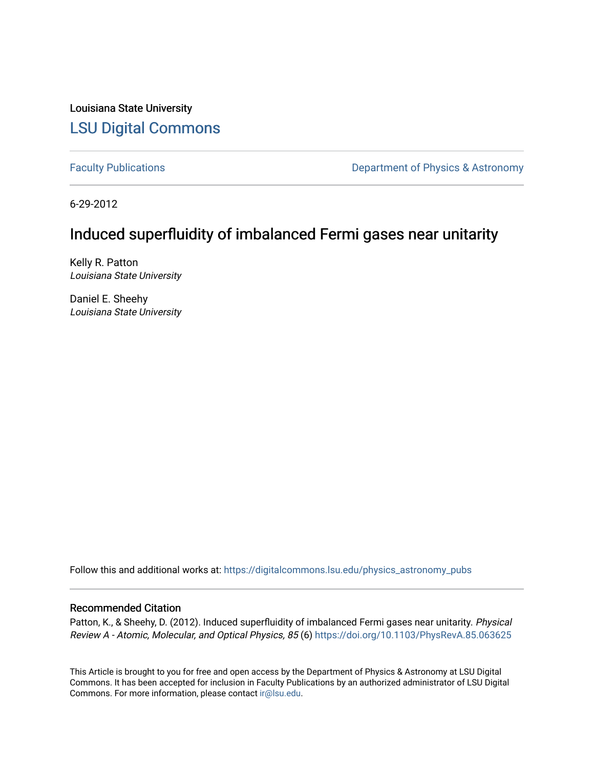Louisiana State University [LSU Digital Commons](https://digitalcommons.lsu.edu/)

[Faculty Publications](https://digitalcommons.lsu.edu/physics_astronomy_pubs) **Exercise 2 and Table 2 and Table 2 and Table 2 and Table 2 and Table 2 and Table 2 and Table 2 and Table 2 and Table 2 and Table 2 and Table 2 and Table 2 and Table 2 and Table 2 and Table 2 and Table** 

6-29-2012

# Induced superfluidity of imbalanced Fermi gases near unitarity

Kelly R. Patton Louisiana State University

Daniel E. Sheehy Louisiana State University

Follow this and additional works at: [https://digitalcommons.lsu.edu/physics\\_astronomy\\_pubs](https://digitalcommons.lsu.edu/physics_astronomy_pubs?utm_source=digitalcommons.lsu.edu%2Fphysics_astronomy_pubs%2F4984&utm_medium=PDF&utm_campaign=PDFCoverPages) 

# Recommended Citation

Patton, K., & Sheehy, D. (2012). Induced superfluidity of imbalanced Fermi gases near unitarity. Physical Review A - Atomic, Molecular, and Optical Physics, 85 (6) <https://doi.org/10.1103/PhysRevA.85.063625>

This Article is brought to you for free and open access by the Department of Physics & Astronomy at LSU Digital Commons. It has been accepted for inclusion in Faculty Publications by an authorized administrator of LSU Digital Commons. For more information, please contact [ir@lsu.edu](mailto:ir@lsu.edu).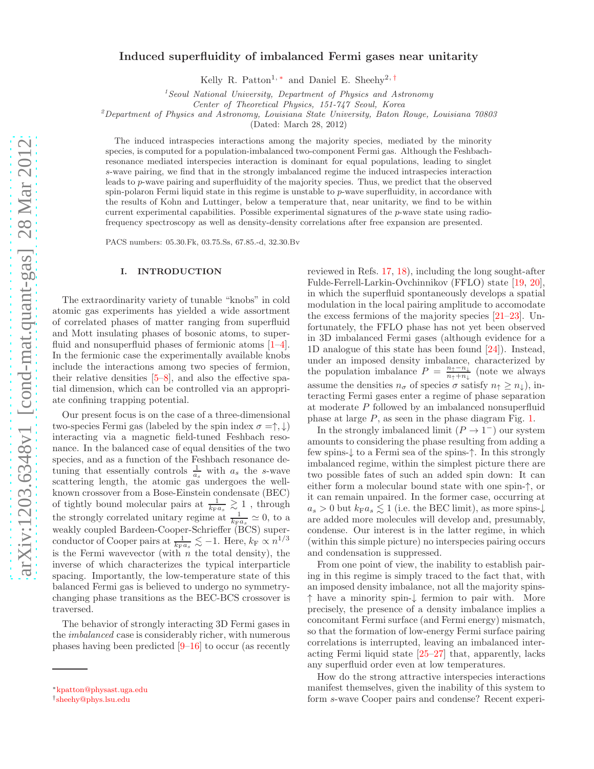# Induced superfluidity of imbalanced Fermi gases near unitarity

Kelly R. Patton<sup>1, [∗](#page-1-0)</sup> and Daniel E. Sheehy<sup>2,[†](#page-1-1)</sup>

 $1$ Seoul National University, Department of Physics and Astronomy

Center of Theoretical Physics, 151-747 Seoul, Korea

 $^{2}$ Department of Physics and Astronomy, Louisiana State University, Baton Rouge, Louisiana  $70803$ 

(Dated: March 28, 2012)

The induced intraspecies interactions among the majority species, mediated by the minority species, is computed for a population-imbalanced two-component Fermi gas. Although the Feshbachresonance mediated interspecies interaction is dominant for equal populations, leading to singlet s-wave pairing, we find that in the strongly imbalanced regime the induced intraspecies interaction leads to p-wave pairing and superfluidity of the majority species. Thus, we predict that the observed spin-polaron Fermi liquid state in this regime is unstable to p-wave superfluidity, in accordance with the results of Kohn and Luttinger, below a temperature that, near unitarity, we find to be within current experimental capabilities. Possible experimental signatures of the  $p$ -wave state using radiofrequency spectroscopy as well as density-density correlations after free expansion are presented.

PACS numbers: 05.30.Fk, 03.75.Ss, 67.85.-d, 32.30.Bv

# I. INTRODUCTION

The extraordinarity variety of tunable "knobs" in cold atomic gas experiments has yielded a wide assortment of correlated phases of matter ranging from superfluid and Mott insulating phases of bosonic atoms, to superfluid and nonsuperfluid phases of fermionic atoms  $[1-4]$ . In the fermionic case the experimentally available knobs include the interactions among two species of fermion, their relative densities  $[5-8]$ , and also the effective spatial dimension, which can be controlled via an appropriate confining trapping potential.

Our present focus is on the case of a three-dimensional two-species Fermi gas (labeled by the spin index  $\sigma = \uparrow, \downarrow$ ) interacting via a magnetic field-tuned Feshbach resonance. In the balanced case of equal densities of the two species, and as a function of the Feshbach resonance detuning that essentially controls  $\frac{1}{a_s}$  with  $a_s$  the s-wave scattering length, the atomic gas undergoes the wellknown crossover from a Bose-Einstein condensate (BEC) of tightly bound molecular pairs at  $\frac{1}{k_{\mathrm{F}}a_s} \gtrsim 1$ , through the strongly correlated unitary regime at  $\frac{1}{k_{\text{F}}a_s} \simeq 0$ , to a weakly coupled Bardeen-Cooper-Schrieffer (BCS) superconductor of Cooper pairs at  $\frac{1}{k_{\mathrm{F}}a_s} \lesssim -1$ . Here,  $k_{\mathrm{F}} \propto n^{1/3}$ is the Fermi wavevector (with  $n$  the total density), the inverse of which characterizes the typical interparticle spacing. Importantly, the low-temperature state of this balanced Fermi gas is believed to undergo no symmetrychanging phase transitions as the BEC-BCS crossover is traversed.

The behavior of strongly interacting 3D Fermi gases in the imbalanced case is considerably richer, with numerous phases having been predicted [\[9](#page-14-4)[–16\]](#page-14-5) to occur (as recently

reviewed in Refs. [17,](#page-14-6) [18](#page-14-7)), including the long sought-after Fulde-Ferrell-Larkin-Ovchinnikov (FFLO) state [\[19](#page-14-8), [20\]](#page-14-9), in which the superfluid spontaneously develops a spatial modulation in the local pairing amplitude to accomodate the excess fermions of the majority species [\[21](#page-14-10)[–23](#page-14-11)]. Unfortunately, the FFLO phase has not yet been observed in 3D imbalanced Fermi gases (although evidence for a 1D analogue of this state has been found [\[24](#page-14-12)]). Instead, under an imposed density imbalance, characterized by the population imbalance  $P = \frac{n_1 - n_1}{n_1 + n_1}$  $\frac{n_{\uparrow}-n_{\downarrow}}{n_{\uparrow}+n_{\downarrow}}$  (note we always assume the densities  $n_{\sigma}$  of species  $\sigma$  satisfy  $n_{\uparrow} \geq n_{\downarrow}$ ), interacting Fermi gases enter a regime of phase separation at moderate P followed by an imbalanced nonsuperfluid phase at large P, as seen in the phase diagram Fig. [1.](#page-2-0)

In the strongly imbalanced limit  $(P \to 1^-)$  our system amounts to considering the phase resulting from adding a few spins-↓ to a Fermi sea of the spins-↑. In this strongly imbalanced regime, within the simplest picture there are two possible fates of such an added spin down: It can either form a molecular bound state with one spin-↑, or it can remain unpaired. In the former case, occurring at  $a_s > 0$  but  $k_F a_s \lesssim 1$  (i.e. the BEC limit), as more spins- $\downarrow$ are added more molecules will develop and, presumably, condense. Our interest is in the latter regime, in which (within this simple picture) no interspecies pairing occurs and condensation is suppressed.

From one point of view, the inability to establish pairing in this regime is simply traced to the fact that, with an imposed density imbalance, not all the majority spins- ↑ have a minority spin-↓ fermion to pair with. More precisely, the presence of a density imbalance implies a concomitant Fermi surface (and Fermi energy) mismatch, so that the formation of low-energy Fermi surface pairing correlations is interrupted, leaving an imbalanced interacting Fermi liquid state [\[25](#page-14-13)[–27](#page-14-14)] that, apparently, lacks any superfluid order even at low temperatures.

How do the strong attractive interspecies interactions manifest themselves, given the inability of this system to form s-wave Cooper pairs and condense? Recent experi-

<span id="page-1-0"></span><sup>∗</sup>[kpatton@physast.uga.edu](mailto:kpatton@physast.uga.edu)

<span id="page-1-1"></span><sup>†</sup> [sheehy@phys.lsu.edu](mailto:sheehy@phys.lsu.edu)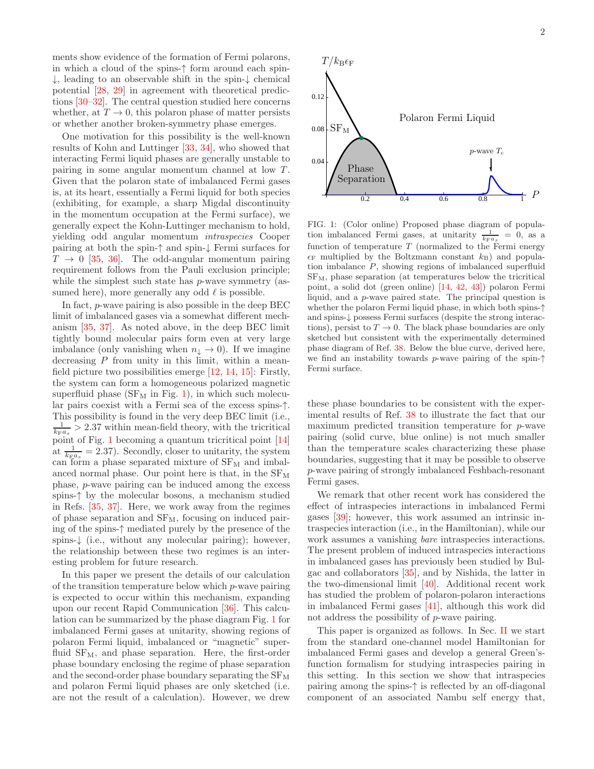ments show evidence of the formation of Fermi polarons, in which a cloud of the spins-↑ form around each spin-  $\downarrow$ , leading to an observable shift in the spin- $\downarrow$  chemical potential [\[28,](#page-14-15) [29\]](#page-14-16) in agreement with theoretical predictions [\[30](#page-14-17)[–32\]](#page-14-18). The central question studied here concerns whether, at  $T \to 0$ , this polaron phase of matter persists or whether another broken-symmetry phase emerges.

One motivation for this possibility is the well-known results of Kohn and Luttinger [\[33,](#page-14-19) [34\]](#page-14-20), who showed that interacting Fermi liquid phases are generally unstable to pairing in some angular momentum channel at low T. Given that the polaron state of imbalanced Fermi gases is, at its heart, essentially a Fermi liquid for both species (exhibiting, for example, a sharp Migdal discontinuity in the momentum occupation at the Fermi surface), we generally expect the Kohn-Luttinger mechanism to hold, yielding odd angular momentum intraspecies Cooper pairing at both the spin-↑ and spin-↓ Fermi surfaces for  $T \rightarrow 0$  [\[35](#page-15-0), [36\]](#page-15-1). The odd-angular momentum pairing requirement follows from the Pauli exclusion principle; while the simplest such state has *p*-wave symmetry (assumed here), more generally any odd  $\ell$  is possible.

In fact, p-wave pairing is also possible in the deep BEC limit of imbalanced gases via a somewhat different mechanism [\[35](#page-15-0), [37\]](#page-15-2). As noted above, in the deep BEC limit tightly bound molecular pairs form even at very large imbalance (only vanishing when  $n_{\downarrow} \rightarrow 0$ ). If we imagine decreasing  $P$  from unity in this limit, within a meanfield picture two possibilities emerge [\[12,](#page-14-21) [14,](#page-14-22) [15](#page-14-23)]: Firstly, the system can form a homogeneous polarized magnetic superfluid phase  $(SF_M$  in Fig. [1\)](#page-2-0), in which such molecular pairs coexist with a Fermi sea of the excess spins-↑. This possibility is found in the very deep BEC limit (i.e.,  $\frac{1}{k_{\text{F}}a_s} > 2.37$  within mean-field theory, with the tricritical point of Fig. [1](#page-2-0) becoming a quantum tricritical point [\[14](#page-14-22)] at  $\frac{1}{k_{\text{F},a_s}} = 2.37$ . Secondly, closer to unitarity, the system can form a phase separated mixture of  $SF<sub>M</sub>$  and imbalanced normal phase. Our point here is that, in the  $SF<sub>M</sub>$ phase, p-wave pairing can be induced among the excess spins-↑ by the molecular bosons, a mechanism studied in Refs. [\[35](#page-15-0), [37\]](#page-15-2). Here, we work away from the regimes of phase separation and  $SF_{M}$ , focusing on induced pairing of the spins-↑ mediated purely by the presence of the spins-↓ (i.e., without any molecular pairing); however, the relationship between these two regimes is an interesting problem for future research.

In this paper we present the details of our calculation of the transition temperature below which p-wave pairing is expected to occur within this mechanism, expanding upon our recent Rapid Communication [\[36\]](#page-15-1). This calculation can be summarized by the phase diagram Fig. [1](#page-2-0) for imbalanced Fermi gases at unitarity, showing regions of polaron Fermi liquid, imbalanced or "magnetic" superfluid  $SF_{M}$ , and phase separation. Here, the first-order phase boundary enclosing the regime of phase separation and the second-order phase boundary separating the  $SF_{M}$ and polaron Fermi liquid phases are only sketched (i.e. are not the result of a calculation). However, we drew



<span id="page-2-0"></span>FIG. 1: (Color online) Proposed phase diagram of population imbalanced Fermi gases, at unitarity  $\frac{1}{k_{\text{F}}a_s} = 0$ , as a function of temperature  $T$  (normalized to the Fermi energy  $\epsilon_F$  multiplied by the Boltzmann constant  $k_B$ ) and population imbalance P, showing regions of imbalanced superfluid  $SF<sub>M</sub>$ , phase separation (at temperatures below the tricritical point, a solid dot (green online) [\[14,](#page-14-22) [42](#page-15-3), [43\]](#page-15-4)) polaron Fermi liquid, and a p-wave paired state. The principal question is whether the polaron Fermi liquid phase, in which both spins-↑ and spins-↓ possess Fermi surfaces (despite the strong interactions), persist to  $T \to 0$ . The black phase boundaries are only sketched but consistent with the experimentally determined phase diagram of Ref. [38.](#page-15-5) Below the blue curve, derived here, we find an instability towards p-wave pairing of the spin-↑ Fermi surface.

these phase boundaries to be consistent with the experimental results of Ref. [38](#page-15-5) to illustrate the fact that our maximum predicted transition temperature for p-wave pairing (solid curve, blue online) is not much smaller than the temperature scales characterizing these phase boundaries, suggesting that it may be possible to observe p-wave pairing of strongly imbalanced Feshbach-resonant Fermi gases.

We remark that other recent work has considered the effect of intraspecies interactions in imbalanced Fermi gases [\[39\]](#page-15-6); however, this work assumed an intrinsic intraspecies interaction (i.e., in the Hamiltonian), while our work assumes a vanishing *bare* intraspecies interactions. The present problem of induced intraspecies interactions in imbalanced gases has previously been studied by Bulgac and collaborators [\[35](#page-15-0)], and by Nishida, the latter in the two-dimensional limit [\[40](#page-15-7)]. Additional recent work has studied the problem of polaron-polaron interactions in imbalanced Fermi gases [\[41\]](#page-15-8), although this work did not address the possibility of p-wave pairing.

This paper is organized as follows. In Sec. [II](#page-3-0) we start from the standard one-channel model Hamiltonian for imbalanced Fermi gases and develop a general Green'sfunction formalism for studying intraspecies pairing in this setting. In this section we show that intraspecies pairing among the spins-↑ is reflected by an off-diagonal component of an associated Nambu self energy that,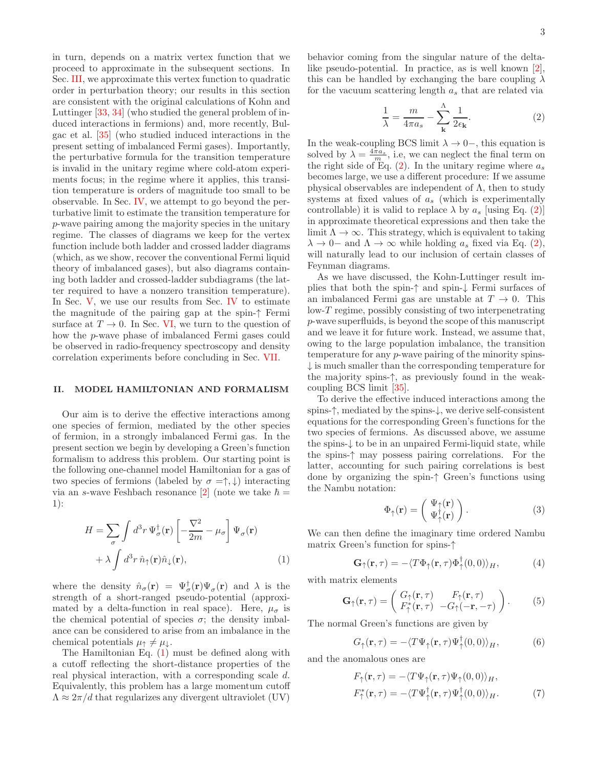in turn, depends on a matrix vertex function that we proceed to approximate in the subsequent sections. In Sec. [III,](#page-4-0) we approximate this vertex function to quadratic order in perturbation theory; our results in this section are consistent with the original calculations of Kohn and Luttinger [\[33,](#page-14-19) [34\]](#page-14-20) (who studied the general problem of induced interactions in fermions) and, more recently, Bulgac et al. [\[35](#page-15-0)] (who studied induced interactions in the present setting of imbalanced Fermi gases). Importantly, the perturbative formula for the transition temperature is invalid in the unitary regime where cold-atom experiments focus; in the regime where it applies, this transition temperature is orders of magnitude too small to be observable. In Sec. [IV,](#page-6-0) we attempt to go beyond the perturbative limit to estimate the transition temperature for p-wave pairing among the majority species in the unitary regime. The classes of diagrams we keep for the vertex function include both ladder and crossed ladder diagrams (which, as we show, recover the conventional Fermi liquid theory of imbalanced gases), but also diagrams containing both ladder and crossed-ladder subdiagrams (the latter required to have a nonzero transition temperature). In Sec. [V,](#page-11-0) we use our results from Sec. [IV](#page-6-0) to estimate the magnitude of the pairing gap at the spin-↑ Fermi surface at  $T \to 0$ . In Sec. [VI,](#page-12-0) we turn to the question of how the p-wave phase of imbalanced Fermi gases could be observed in radio-frequency spectroscopy and density correlation experiments before concluding in Sec. [VII.](#page-13-0)

# <span id="page-3-0"></span>II. MODEL HAMILTONIAN AND FORMALISM

Our aim is to derive the effective interactions among one species of fermion, mediated by the other species of fermion, in a strongly imbalanced Fermi gas. In the present section we begin by developing a Green's function formalism to address this problem. Our starting point is the following one-channel model Hamiltonian for a gas of two species of fermions (labeled by  $\sigma = \uparrow, \downarrow$ ) interacting via an s-wave Feshbach resonance [\[2\]](#page-14-24) (note we take  $\hbar =$ 1):

$$
H = \sum_{\sigma} \int d^3 r \, \Psi_{\sigma}^{\dagger}(\mathbf{r}) \left[ -\frac{\nabla^2}{2m} - \mu_{\sigma} \right] \Psi_{\sigma}(\mathbf{r}) + \lambda \int d^3 r \, \hat{n}_{\uparrow}(\mathbf{r}) \hat{n}_{\downarrow}(\mathbf{r}),
$$
 (1)

where the density  $\hat{n}_{\sigma}(\mathbf{r}) = \Psi_{\sigma}^{\dagger}(\mathbf{r})\Psi_{\sigma}(\mathbf{r})$  and  $\lambda$  is the strength of a short-ranged pseudo-potential (approximated by a delta-function in real space). Here,  $\mu_{\sigma}$  is the chemical potential of species  $\sigma$ ; the density imbalance can be considered to arise from an imbalance in the chemical potentials  $\mu_{\uparrow} \neq \mu_{\downarrow}$ .

The Hamiltonian Eq. [\(1\)](#page-3-1) must be defined along with a cutoff reflecting the short-distance properties of the real physical interaction, with a corresponding scale d. Equivalently, this problem has a large momentum cutoff  $\Lambda \approx 2\pi/d$  that regularizes any divergent ultraviolet (UV)

behavior coming from the singular nature of the deltalike pseudo-potential. In practice, as is well known [\[2\]](#page-14-24), this can be handled by exchanging the bare coupling  $\lambda$ for the vacuum scattering length  $a_s$  that are related via

<span id="page-3-2"></span>
$$
\frac{1}{\lambda} = \frac{m}{4\pi a_s} - \sum_{\mathbf{k}}^{\Lambda} \frac{1}{2\epsilon_{\mathbf{k}}}.\tag{2}
$$

In the weak-coupling BCS limit  $\lambda \to 0-$ , this equation is solved by  $\lambda = \frac{4\pi a_s}{m}$ , i.e, we can neglect the final term on the right side of Eq.  $(2)$ . In the unitary regime where  $a_s$ becomes large, we use a different procedure: If we assume physical observables are independent of  $\Lambda$ , then to study systems at fixed values of  $a<sub>s</sub>$  (which is experimentally controllable) it is valid to replace  $\lambda$  by  $a_s$  [using Eq. [\(2\)](#page-3-2)] in approximate theoretical expressions and then take the limit  $\Lambda \to \infty$ . This strategy, which is equivalent to taking  $\lambda \to 0^-$  and  $\Lambda \to \infty$  while holding  $a_s$  fixed via Eq. [\(2\)](#page-3-2), will naturally lead to our inclusion of certain classes of Feynman diagrams.

As we have discussed, the Kohn-Luttinger result implies that both the spin-↑ and spin-↓ Fermi surfaces of an imbalanced Fermi gas are unstable at  $T \to 0$ . This low-T regime, possibly consisting of two interpenetrating p-wave superfluids, is beyond the scope of this manuscript and we leave it for future work. Instead, we assume that, owing to the large population imbalance, the transition temperature for any p-wave pairing of the minority spins-  $\downarrow$  is much smaller than the corresponding temperature for the majority spins-↑, as previously found in the weakcoupling BCS limit [\[35\]](#page-15-0).

To derive the effective induced interactions among the spins-↑, mediated by the spins-↓, we derive self-consistent equations for the corresponding Green's functions for the two species of fermions. As discussed above, we assume the spins-↓ to be in an unpaired Fermi-liquid state, while the spins-↑ may possess pairing correlations. For the latter, accounting for such pairing correlations is best done by organizing the spin-↑ Green's functions using the Nambu notation:

<span id="page-3-3"></span>
$$
\Phi_{\uparrow}(\mathbf{r}) = \begin{pmatrix} \Psi_{\uparrow}(\mathbf{r}) \\ \Psi_{\uparrow}^{\dagger}(\mathbf{r}) \end{pmatrix}.
$$
 (3)

<span id="page-3-1"></span>We can then define the imaginary time ordered Nambu matrix Green's function for spins-↑

$$
\mathbf{G}_{\uparrow}(\mathbf{r},\tau) = -\langle T\Phi_{\uparrow}(\mathbf{r},\tau)\Phi_{\uparrow}^{\dagger}(0,0)\rangle_{H},\tag{4}
$$

with matrix elements

$$
\mathbf{G}_{\uparrow}(\mathbf{r},\tau) = \begin{pmatrix} G_{\uparrow}(\mathbf{r},\tau) & F_{\uparrow}(\mathbf{r},\tau) \\ F_{\uparrow}^*(\mathbf{r},\tau) & -G_{\uparrow}(-\mathbf{r},-\tau) \end{pmatrix}.
$$
 (5)

The normal Green's functions are given by

$$
G_{\uparrow}(\mathbf{r},\tau) = -\langle T\Psi_{\uparrow}(\mathbf{r},\tau)\Psi_{\uparrow}^{\dagger}(0,0)\rangle_{H},\tag{6}
$$

and the anomalous ones are

$$
F_{\uparrow}(\mathbf{r},\tau) = -\langle T\Psi_{\uparrow}(\mathbf{r},\tau)\Psi_{\uparrow}(0,0)\rangle_{H},
$$
  

$$
F_{\uparrow}^{*}(\mathbf{r},\tau) = -\langle T\Psi_{\uparrow}^{\dagger}(\mathbf{r},\tau)\Psi_{\uparrow}^{\dagger}(0,0)\rangle_{H}.
$$
 (7)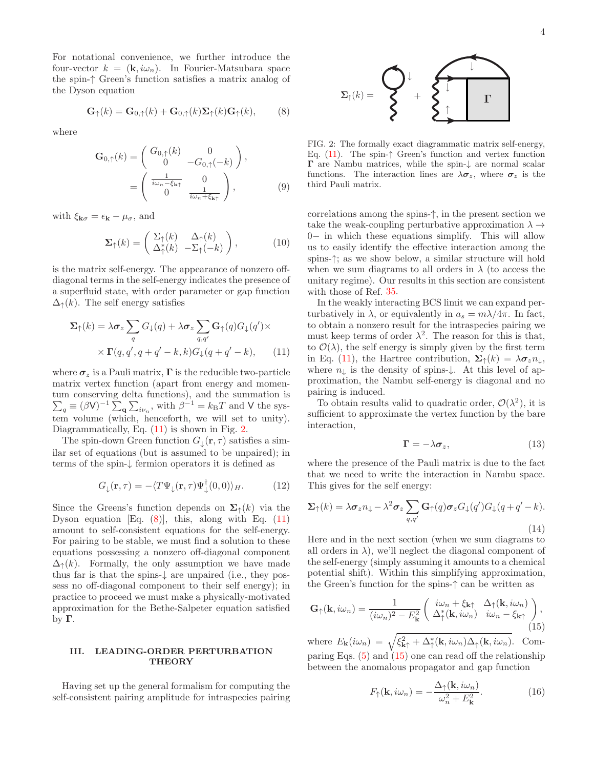For notational convenience, we further introduce the four-vector  $k = (\mathbf{k}, i\omega_n)$ . In Fourier-Matsubara space the spin-↑ Green's function satisfies a matrix analog of the Dyson equation

<span id="page-4-3"></span>
$$
\mathbf{G}_{\uparrow}(k) = \mathbf{G}_{0,\uparrow}(k) + \mathbf{G}_{0,\uparrow}(k)\mathbf{\Sigma}_{\uparrow}(k)\mathbf{G}_{\uparrow}(k),
$$
 (8)

where

$$
\mathbf{G}_{0,\uparrow}(k) = \begin{pmatrix} G_{0,\uparrow}(k) & 0 \\ 0 & -G_{0,\uparrow}(-k) \end{pmatrix},
$$
  
= 
$$
\begin{pmatrix} \frac{1}{i\omega_n - \xi_{k\uparrow}} & 0 \\ 0 & \frac{1}{i\omega_n + \xi_{k\uparrow}} \end{pmatrix},
$$
 (9)

with  $\xi_{\mathbf{k}\sigma} = \epsilon_{\mathbf{k}} - \mu_{\sigma}$ , and

$$
\Sigma_{\uparrow}(k) = \begin{pmatrix} \Sigma_{\uparrow}(k) & \Delta_{\uparrow}(k) \\ \Delta_{\uparrow}^*(k) & -\Sigma_{\uparrow}(-k) \end{pmatrix}, \tag{10}
$$

is the matrix self-energy. The appearance of nonzero offdiagonal terms in the self-energy indicates the presence of a superfluid state, with order parameter or gap function  $\Delta_{\uparrow}(k)$ . The self energy satisfies

$$
\Sigma_{\uparrow}(k) = \lambda \sigma_z \sum_q G_{\downarrow}(q) + \lambda \sigma_z \sum_{q,q'} \mathbf{G}_{\uparrow}(q) G_{\downarrow}(q') \times
$$

$$
\times \Gamma(q, q', q + q' - k, k) G_{\downarrow}(q + q' - k), \qquad (11)
$$

where  $\sigma_z$  is a Pauli matrix,  $\Gamma$  is the reducible two-particle matrix vertex function (apart from energy and momentum conserving delta functions), and the summation is  $\sum_{q} \equiv (\beta V)^{-1} \sum_{\mathbf{q}} \sum_{i\nu_n}$ , with  $\beta^{-1} = k_{\rm B}T$  and V the system volume (which, henceforth, we will set to unity). Diagrammatically, Eq. [\(11\)](#page-4-1) is shown in Fig. [2.](#page-4-2)

The spin-down Green function  $G_{\downarrow}(\mathbf{r}, \tau)$  satisfies a similar set of equations (but is assumed to be unpaired); in terms of the spin-↓ fermion operators it is defined as

$$
G_{\downarrow}(\mathbf{r},\tau) = -\langle T\Psi_{\downarrow}(\mathbf{r},\tau)\Psi_{\downarrow}^{\dagger}(0,0)\rangle_{H}.
$$
 (12)

Since the Greens's function depends on  $\Sigma_{\uparrow}(k)$  via the Dyson equation [Eq.  $(8)$ ], this, along with Eq.  $(11)$ amount to self-consistent equations for the self-energy. For pairing to be stable, we must find a solution to these equations possessing a nonzero off-diagonal component  $\Delta_{\uparrow}(k)$ . Formally, the only assumption we have made thus far is that the spins-↓ are unpaired (i.e., they possess no off-diagonal component to their self energy); in practice to proceed we must make a physically-motivated approximation for the Bethe-Salpeter equation satisfied by  $\Gamma$ .

## <span id="page-4-0"></span>III. LEADING-ORDER PERTURBATION **THEORY**

Having set up the general formalism for computing the self-consistent pairing amplitude for intraspecies pairing



<span id="page-4-2"></span>FIG. 2: The formally exact diagrammatic matrix self-energy, Eq.  $(11)$ . The spin- $\uparrow$  Green's function and vertex function  $\Gamma$  are Nambu matrices, while the spin- $\downarrow$  are normal scalar functions. The interaction lines are  $\lambda \sigma_z$ , where  $\sigma_z$  is the third Pauli matrix.

correlations among the spins-↑, in the present section we take the weak-coupling perturbative approximation  $\lambda \rightarrow$ 0− in which these equations simplify. This will allow us to easily identify the effective interaction among the spins- $\uparrow$ ; as we show below, a similar structure will hold when we sum diagrams to all orders in  $\lambda$  (to access the unitary regime). Our results in this section are consistent with those of Ref. [35](#page-15-0).

<span id="page-4-1"></span>In the weakly interacting BCS limit we can expand perturbatively in  $\lambda$ , or equivalently in  $a_s = m\lambda/4\pi$ . In fact, to obtain a nonzero result for the intraspecies pairing we must keep terms of order  $\lambda^2$ . The reason for this is that, to  $\mathcal{O}(\lambda)$ , the self energy is simply given by the first term in Eq. [\(11\)](#page-4-1), the Hartree contribution,  $\Sigma_{\uparrow}(k) = \lambda \sigma_z n_{\perp}$ , where  $n_{\perp}$  is the density of spins- $\downarrow$ . At this level of approximation, the Nambu self-energy is diagonal and no pairing is induced.

To obtain results valid to quadratic order,  $\mathcal{O}(\lambda^2)$ , it is sufficient to approximate the vertex function by the bare interaction,

$$
\Gamma = -\lambda \sigma_z, \tag{13}
$$

where the presence of the Pauli matrix is due to the fact that we need to write the interaction in Nambu space. This gives for the self energy:

<span id="page-4-5"></span>
$$
\Sigma_{\uparrow}(k) = \lambda \sigma_z n_{\downarrow} - \lambda^2 \sigma_z \sum_{q,q'} \mathbf{G}_{\uparrow}(q) \sigma_z G_{\downarrow}(q') G_{\downarrow}(q + q' - k).
$$
\n(14)

Here and in the next section (when we sum diagrams to all orders in  $\lambda$ , we'll neglect the diagonal component of the self-energy (simply assuming it amounts to a chemical potential shift). Within this simplifying approximation, the Green's function for the spins-↑ can be written as

<span id="page-4-4"></span>
$$
\mathbf{G}_{\uparrow}(\mathbf{k}, i\omega_n) = \frac{1}{(i\omega_n)^2 - E_{\mathbf{k}}^2} \begin{pmatrix} i\omega_n + \xi_{\mathbf{k}\uparrow} & \Delta_{\uparrow}(\mathbf{k}, i\omega_n) \\ \Delta_{\uparrow}^*(\mathbf{k}, i\omega_n) & i\omega_n - \xi_{\mathbf{k}\uparrow} \\ 15 \end{pmatrix},
$$

where  $E_{\mathbf{k}}(i\omega_n) = \sqrt{\xi_{\mathbf{k}\uparrow}^2 + \Delta_{\uparrow}^*(\mathbf{k}, i\omega_n)\Delta_{\uparrow}(\mathbf{k}, i\omega_n)}$ . Comparing Eqs.  $(5)$  and  $(15)$  one can read off the relationship between the anomalous propagator and gap function

<span id="page-4-6"></span>
$$
F_{\uparrow}(\mathbf{k}, i\omega_n) = -\frac{\Delta_{\uparrow}(\mathbf{k}, i\omega_n)}{\omega_n^2 + E_{\mathbf{k}}^2}.
$$
 (16)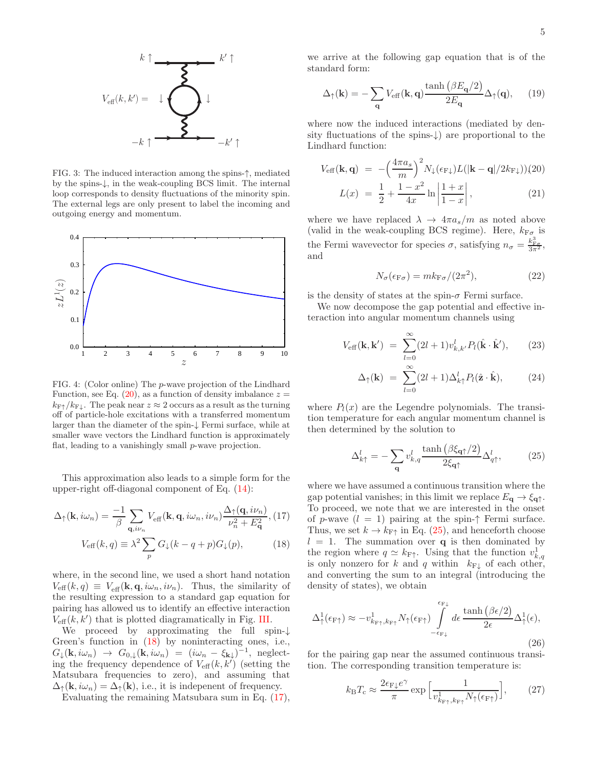

FIG. 3: The induced interaction among the spins-↑, mediated by the spins-↓, in the weak-coupling BCS limit. The internal loop corresponds to density fluctuations of the minority spin. The external legs are only present to label the incoming and outgoing energy and momentum.



<span id="page-5-4"></span>FIG. 4: (Color online) The p-wave projection of the Lindhard Function, see Eq.  $(20)$ , as a function of density imbalance  $z =$  $k_{\text{F}\uparrow}/k_{\text{F}\downarrow}$ . The peak near  $z \approx 2$  occurs as a result as the turning off of particle-hole excitations with a transferred momentum larger than the diameter of the spin-↓ Fermi surface, while at smaller wave vectors the Lindhard function is approximately flat, leading to a vanishingly small p-wave projection.

This approximation also leads to a simple form for the upper-right off-diagonal component of Eq. [\(14\)](#page-4-5):

<span id="page-5-1"></span>
$$
\Delta_{\uparrow}(\mathbf{k}, i\omega_n) = \frac{-1}{\beta} \sum_{\mathbf{q}, i\nu_n} V_{\text{eff}}(\mathbf{k}, \mathbf{q}, i\omega_n, i\nu_n) \frac{\Delta_{\uparrow}(\mathbf{q}, i\nu_n)}{\nu_n^2 + E_{\mathbf{q}}^2}, (17)
$$

$$
V_{\text{eff}}(k,q) \equiv \lambda^2 \sum_p G_\downarrow(k-q+p)G_\downarrow(p),\tag{18}
$$

where, in the second line, we used a short hand notation  $V_{\text{eff}}(k,q) \equiv V_{\text{eff}}(\mathbf{k}, \mathbf{q}, i\omega_n, i\nu_n)$ . Thus, the similarity of the resulting expression to a standard gap equation for pairing has allowed us to identify an effective interaction  $V_{\text{eff}}(k, k')$  that is plotted diagramatically in Fig. [III.](#page-4-6)

We proceed by approximating the full spin-↓ Green's function in [\(18\)](#page-5-1) by noninteracting ones, i.e.,  $G_{\downarrow}(\mathbf{k}, i\omega_n) \rightarrow G_{0,\downarrow}(\mathbf{k}, i\omega_n) = (i\omega_n - \xi_{\mathbf{k}\downarrow})^{-1}$ , neglecting the frequency dependence of  $V_{\text{eff}}(k, k')$  (setting the Matsubara frequencies to zero), and assuming that  $\Delta_{\uparrow}({\bf k}, i\omega_n) = \Delta_{\uparrow}({\bf k}),$  i.e., it is indepenent of frequency.

Evaluating the remaining Matsubara sum in Eq. [\(17\)](#page-5-1),

we arrive at the following gap equation that is of the standard form:

<span id="page-5-6"></span>
$$
\Delta_{\uparrow}(\mathbf{k}) = -\sum_{\mathbf{q}} V_{\text{eff}}(\mathbf{k}, \mathbf{q}) \frac{\tanh\left(\beta E_{\mathbf{q}}/2\right)}{2E_{\mathbf{q}}}\Delta_{\uparrow}(\mathbf{q}),\qquad(19)
$$

where now the induced interactions (mediated by density fluctuations of the spins-↓) are proportional to the Lindhard function:

<span id="page-5-0"></span>
$$
V_{\text{eff}}(\mathbf{k}, \mathbf{q}) = -\left(\frac{4\pi a_s}{m}\right)^2 N_{\downarrow}(\epsilon_{\text{F}\downarrow}) L(|\mathbf{k} - \mathbf{q}|/2k_{\text{F}\downarrow}))(20)
$$

$$
L(x) = \frac{1}{2} + \frac{1 - x^2}{4x} \ln\left|\frac{1 + x}{1 - x}\right|,
$$
(21)

where we have replaced  $\lambda \to 4\pi a_s/m$  as noted above (valid in the weak-coupling BCS regime). Here,  $k_{\text{F}\sigma}$  is the Fermi wavevector for species  $\sigma$ , satisfying  $n_{\sigma} = \frac{k_{\text{PZ}}^3}{3\pi^2}$ , and

<span id="page-5-7"></span>
$$
N_{\sigma}(\epsilon_{\mathbf{F}\sigma}) = mk_{\mathbf{F}\sigma}/(2\pi^2),\tag{22}
$$

is the density of states at the spin- $\sigma$  Fermi surface.

We now decompose the gap potential and effective interaction into angular momentum channels using

<span id="page-5-5"></span>
$$
V_{\text{eff}}(\mathbf{k}, \mathbf{k}') = \sum_{l=0}^{\infty} (2l+1) v_{k,k'}^l P_l(\hat{\mathbf{k}} \cdot \hat{\mathbf{k}}'), \qquad (23)
$$

$$
\Delta_{\uparrow}(\mathbf{k}) = \sum_{l=0}^{\infty} (2l+1) \Delta_{k\uparrow}^{l} P_l(\hat{\mathbf{z}} \cdot \hat{\mathbf{k}}), \quad (24)
$$

where  $P_l(x)$  are the Legendre polynomials. The transition temperature for each angular momentum channel is then determined by the solution to

<span id="page-5-2"></span>
$$
\Delta_{k\uparrow}^l = -\sum_{\mathbf{q}} v_{k,q}^l \frac{\tanh\left(\beta \xi_{\mathbf{q}\uparrow}/2\right)}{2\xi_{\mathbf{q}\uparrow}} \Delta_{q\uparrow}^l,\tag{25}
$$

where we have assumed a continuous transition where the gap potential vanishes; in this limit we replace  $E_{\mathbf{q}} \to \xi_{\mathbf{q}\uparrow}$ . To proceed, we note that we are interested in the onset of p-wave  $(l = 1)$  pairing at the spin- $\uparrow$  Fermi surface. Thus, we set  $k \to k_{\text{F}\uparrow}$  in Eq. [\(25\)](#page-5-2), and henceforth choose  $l = 1$ . The summation over **q** is then dominated by the region where  $q \simeq k_{\text{F}\uparrow}$ . Using that the function  $v_{k,q}^1$  is only nonzero for k and q within  $k_{\text{F}\downarrow}$  of each other, and converting the sum to an integral (introducing the density of states), we obtain

$$
\Delta_{\uparrow}^{1}(\epsilon_{\mathrm{F}\uparrow}) \approx -v_{k_{\mathrm{F}\uparrow},k_{\mathrm{F}\uparrow}}^{1} N_{\uparrow}(\epsilon_{\mathrm{F}\uparrow}) \int\limits_{-\epsilon_{\mathrm{F}\downarrow}}^{\epsilon_{\mathrm{F}\downarrow}} d\epsilon \frac{\tanh\left(\beta\epsilon/2\right)}{2\epsilon} \Delta_{\uparrow}^{1}(\epsilon),\tag{26}
$$

for the pairing gap near the assumed continuous transition. The corresponding transition temperature is:

<span id="page-5-3"></span>
$$
k_{\rm B}T_{\rm c} \approx \frac{2\epsilon_{\rm F\downarrow}e^{\gamma}}{\pi} \exp\left[\frac{1}{v_{k_{\rm F\uparrow},k_{\rm F\uparrow}}^1} N_{\uparrow}(\epsilon_{\rm F\uparrow})\right],\qquad(27)
$$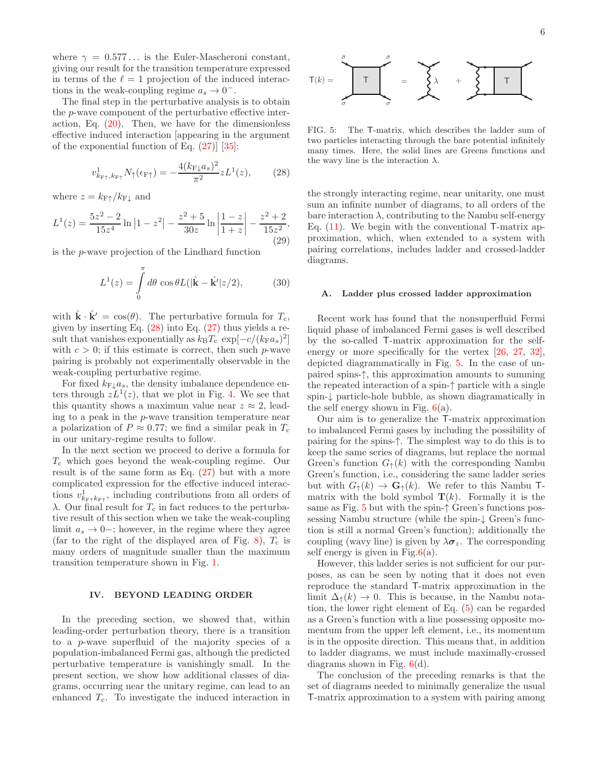where  $\gamma = 0.577...$  is the Euler-Mascheroni constant, giving our result for the transition temperature expressed in terms of the  $\ell = 1$  projection of the induced interactions in the weak-coupling regime  $a_s \to 0^-$ .

The final step in the perturbative analysis is to obtain the p-wave component of the perturbative effective interaction, Eq.  $(20)$ . Then, we have for the dimensionless effective induced interaction [appearing in the argument of the exponential function of Eq. [\(27\)](#page-5-3)] [\[35\]](#page-15-0):

<span id="page-6-1"></span>
$$
v_{k_{\text{F}\uparrow},k_{\text{F}\uparrow}}^1 N_\uparrow(\epsilon_{\text{F}\uparrow}) = -\frac{4(k_{\text{F}\downarrow}a_s)^2}{\pi^2} z L^1(z),\tag{28}
$$

where  $z = k_{\text{F}\uparrow}/k_{\text{F}\downarrow}$  and

$$
L^{1}(z) = \frac{5z^{2} - 2}{15z^{4}} \ln|1 - z^{2}| - \frac{z^{2} + 5}{30z} \ln\left|\frac{1 - z}{1 + z}\right| - \frac{z^{2} + 2}{15z^{2}},
$$
\n(29)

is the p-wave projection of the Lindhard function

$$
L^{1}(z) = \int_{0}^{\pi} d\theta \, \cos\theta L(|\hat{\mathbf{k}} - \hat{\mathbf{k'}}|z/2), \tag{30}
$$

with  $\hat{\mathbf{k}} \cdot \hat{\mathbf{k}}' = \cos(\theta)$ . The perturbative formula for  $T_c$ , given by inserting Eq.  $(28)$  into Eq.  $(27)$  thus yields a result that vanishes exponentially as  $k_{\rm B}T_{\rm c}\exp[-c/(k_{\rm F}a_s)^2]$ with  $c > 0$ ; if this estimate is correct, then such p-wave pairing is probably not experimentally observable in the weak-coupling perturbative regime.

For fixed  $k_{\text{F} \downarrow} a_s$ , the density imbalance dependence enters through  $zL^1(z)$ , that we plot in Fig. [4.](#page-5-4) We see that this quantity shows a maximum value near  $z \approx 2$ , leading to a peak in the p-wave transition temperature near a polarization of  $P \approx 0.77$ ; we find a similar peak in  $T_c$ in our unitary-regime results to follow.

In the next section we proceed to derive a formula for  $T_c$  which goes beyond the weak-coupling regime. Our result is of the same form as Eq. [\(27\)](#page-5-3) but with a more complicated expression for the effective induced interactions  $v^1_{k_{\text{F}\uparrow}k_{\text{F}\uparrow}}$ , including contributions from all orders of  $\lambda$ . Our final result for  $T_c$  in fact reduces to the perturbative result of this section when we take the weak-coupling limit  $a_s \to 0-$ ; however, in the regime where they agree (far to the right of the displayed area of Fig. [8\)](#page-9-0),  $T_c$  is many orders of magnitude smaller than the maximum transition temperature shown in Fig. [1.](#page-2-0)

## <span id="page-6-0"></span>IV. BEYOND LEADING ORDER

In the preceding section, we showed that, within leading-order perturbation theory, there is a transition to a p-wave superfluid of the majority species of a population-imbalanced Fermi gas, although the predicted perturbative temperature is vanishingly small. In the present section, we show how additional classes of diagrams, occurring near the unitary regime, can lead to an enhanced  $T_c$ . To investigate the induced interaction in



<span id="page-6-2"></span>FIG. 5: The T-matrix, which describes the ladder sum of two particles interacting through the bare potential infinitely many times. Here, the solid lines are Greens functions and the wavy line is the interaction  $\lambda$ .

the strongly interacting regime, near unitarity, one must sum an infinite number of diagrams, to all orders of the bare interaction  $\lambda$ , contributing to the Nambu self-energy Eq.  $(11)$ . We begin with the conventional T-matrix approximation, which, when extended to a system with pairing correlations, includes ladder and crossed-ladder diagrams.

#### A. Ladder plus crossed ladder approximation

Recent work has found that the nonsuperfluid Fermi liquid phase of imbalanced Fermi gases is well described by the so-called T-matrix approximation for the selfenergy or more specifically for the vertex [\[26,](#page-14-25) [27](#page-14-14), [32\]](#page-14-18), depicted diagrammatically in Fig. [5.](#page-6-2) In the case of unpaired spins-↑, this approximation amounts to summing the repeated interaction of a spin-↑ particle with a single spin-↓ particle-hole bubble, as shown diagramatically in the self energy shown in Fig.  $6(a)$  $6(a)$ .

Our aim is to generalize the T-matrix approximation to imbalanced Fermi gases by including the possibility of pairing for the spins-↑. The simplest way to do this is to keep the same series of diagrams, but replace the normal Green's function  $G_{\uparrow}(k)$  with the corresponding Nambu Green's function, i.e., considering the same ladder series but with  $G_{\uparrow}(k) \rightarrow \mathbf{G}_{\uparrow}(k)$ . We refer to this Nambu Tmatrix with the bold symbol  $\mathbf{T}(k)$ . Formally it is the same as Fig. [5](#page-6-2) but with the spin-↑ Green's functions possessing Nambu structure (while the spin-↓ Green's function is still a normal Green's function); additionally the coupling (wavy line) is given by  $\lambda \sigma_z$ . The corresponding self energy is given in Fig. $6(a)$ .

However, this ladder series is not sufficient for our purposes, as can be seen by noting that it does not even reproduce the standard T-matrix approximation in the limit  $\Delta_{\uparrow}(k) \to 0$ . This is because, in the Nambu notation, the lower right element of Eq. [\(5\)](#page-3-3) can be regarded as a Green's function with a line possessing opposite momentum from the upper left element, i.e., its momentum is in the opposite direction. This means that, in addition to ladder diagrams, we must include maximally-crossed diagrams shown in Fig. [6\(](#page-7-0)d).

The conclusion of the preceding remarks is that the set of diagrams needed to minimally generalize the usual T-matrix approximation to a system with pairing among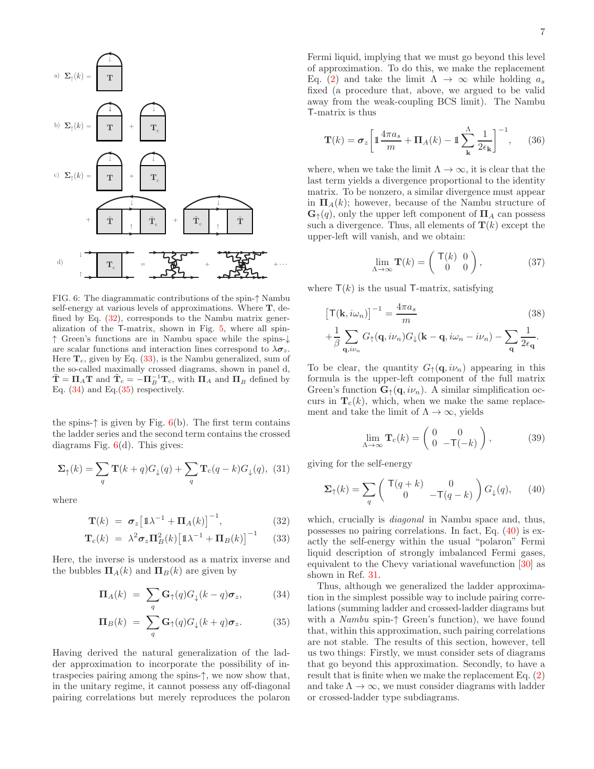

<span id="page-7-0"></span>FIG. 6: The diagrammatic contributions of the spin-↑ Nambu self-energy at various levels of approximations. Where T, defined by Eq. [\(32\)](#page-7-1), corresponds to the Nambu matrix generalization of the T-matrix, shown in Fig. [5,](#page-6-2) where all spin- ↑ Green's functions are in Nambu space while the spins-↓ are scalar functions and interaction lines correspond to  $\lambda \sigma_z$ . Here  $T_c$ , given by Eq. [\(33\)](#page-7-1), is the Nambu generalized, sum of the so-called maximally crossed diagrams, shown in panel d,  $\tilde{T} = \Pi_A T$  and  $\tilde{T}_c = -\Pi_B^{-1} T_c$ , with  $\Pi_A$  and  $\Pi_B$  defined by Eq.  $(34)$  and Eq. $(35)$  respectively.

the spins- $\uparrow$  is given by Fig. [6\(](#page-7-0)b). The first term contains the ladder series and the second term contains the crossed diagrams Fig. [6\(](#page-7-0)d). This gives:

$$
\Sigma_{\uparrow}(k) = \sum_{q} \mathbf{T}(k+q) G_{\downarrow}(q) + \sum_{q} \mathbf{T}_{\rm c}(q-k) G_{\downarrow}(q), \tag{31}
$$

where

<span id="page-7-1"></span>
$$
\mathbf{T}(k) = \boldsymbol{\sigma}_z \big[ \mathbb{1} \lambda^{-1} + \mathbf{\Pi}_A(k) \big]^{-1}, \tag{32}
$$

$$
\mathbf{T}_{\rm c}(k) = \lambda^2 \sigma_z \mathbf{\Pi}_B^2(k) \big[ \mathbb{1}\lambda^{-1} + \mathbf{\Pi}_B(k) \big]^{-1} \qquad (33)
$$

Here, the inverse is understood as a matrix inverse and the bubbles  $\Pi_A(k)$  and  $\Pi_B(k)$  are given by

<span id="page-7-2"></span>
$$
\Pi_A(k) = \sum_q \mathbf{G}_{\uparrow}(q) G_{\downarrow}(k-q) \sigma_z, \tag{34}
$$

$$
\Pi_B(k) = \sum_q \mathbf{G}_{\uparrow}(q) G_{\downarrow}(k+q) \sigma_z.
$$
 (35)

Having derived the natural generalization of the ladder approximation to incorporate the possibility of intraspecies pairing among the spins-↑, we now show that, in the unitary regime, it cannot possess any off-diagonal pairing correlations but merely reproduces the polaron

Fermi liquid, implying that we must go beyond this level of approximation. To do this, we make the replacement Eq. [\(2\)](#page-3-2) and take the limit  $\Lambda \to \infty$  while holding  $a_s$ fixed (a procedure that, above, we argued to be valid away from the weak-coupling BCS limit). The Nambu T-matrix is thus

$$
\mathbf{T}(k) = \sigma_z \left[ \mathbb{1} \frac{4\pi a_s}{m} + \mathbf{\Pi}_A(k) - \mathbb{1} \sum_{\mathbf{k}}^{\Lambda} \frac{1}{2\epsilon_{\mathbf{k}}} \right]^{-1}, \qquad (36)
$$

where, when we take the limit  $\Lambda \to \infty$ , it is clear that the last term yields a divergence proportional to the identity matrix. To be nonzero, a similar divergence must appear in  $\Pi_A(k)$ ; however, because of the Nambu structure of  $\mathbf{G}_{\uparrow}(q)$ , only the upper left component of  $\Pi_A$  can possess such a divergence. Thus, all elements of  $\mathbf{T}(k)$  except the upper-left will vanish, and we obtain:

$$
\lim_{\Lambda \to \infty} \mathbf{T}(k) = \begin{pmatrix} \mathbf{T}(k) & 0 \\ 0 & 0 \end{pmatrix}, \tag{37}
$$

where  $T(k)$  is the usual T-matrix, satisfying

<span id="page-7-4"></span>
$$
\left[\mathsf{T}(\mathbf{k}, i\omega_n)\right]^{-1} = \frac{4\pi a_s}{m}
$$
(38)  
 
$$
+\frac{1}{\beta} \sum_{\mathbf{q}, i\nu_n} G_{\uparrow}(\mathbf{q}, i\nu_n) G_{\downarrow}(\mathbf{k} - \mathbf{q}, i\omega_n - i\nu_n) - \sum_{\mathbf{q}} \frac{1}{2\epsilon_{\mathbf{q}}}.
$$

To be clear, the quantity  $G_{\uparrow}(\mathbf{q}, i\nu_n)$  appearing in this formula is the upper-left component of the full matrix Green's function  $\mathbf{G}_{\uparrow}(\mathbf{q}, i\nu_n)$ . A similar simplification occurs in  $T_c(k)$ , which, when we make the same replacement and take the limit of  $\Lambda \to \infty$ , yields

$$
\lim_{\Lambda \to \infty} \mathbf{T}_c(k) = \begin{pmatrix} 0 & 0 \\ 0 & -\mathbf{T}(-k) \end{pmatrix}, \tag{39}
$$

giving for the self-energy

<span id="page-7-3"></span>
$$
\Sigma_{\uparrow}(k) = \sum_{q} \begin{pmatrix} \mathsf{T}(q+k) & 0\\ 0 & -\mathsf{T}(q-k) \end{pmatrix} G_{\downarrow}(q), \qquad (40)
$$

which, crucially is *diagonal* in Nambu space and, thus, possesses no pairing correlations. In fact, Eq. [\(40\)](#page-7-3) is exactly the self-energy within the usual "polaron" Fermi liquid description of strongly imbalanced Fermi gases, equivalent to the Chevy variational wavefunction [\[30](#page-14-17)] as shown in Ref. [31.](#page-14-26)

Thus, although we generalized the ladder approximation in the simplest possible way to include pairing correlations (summing ladder and crossed-ladder diagrams but with a Nambu spin-↑ Green's function), we have found that, within this approximation, such pairing correlations are not stable. The results of this section, however, tell us two things: Firstly, we must consider sets of diagrams that go beyond this approximation. Secondly, to have a result that is finite when we make the replacement Eq. [\(2\)](#page-3-2) and take  $\Lambda \to \infty$ , we must consider diagrams with ladder or crossed-ladder type subdiagrams.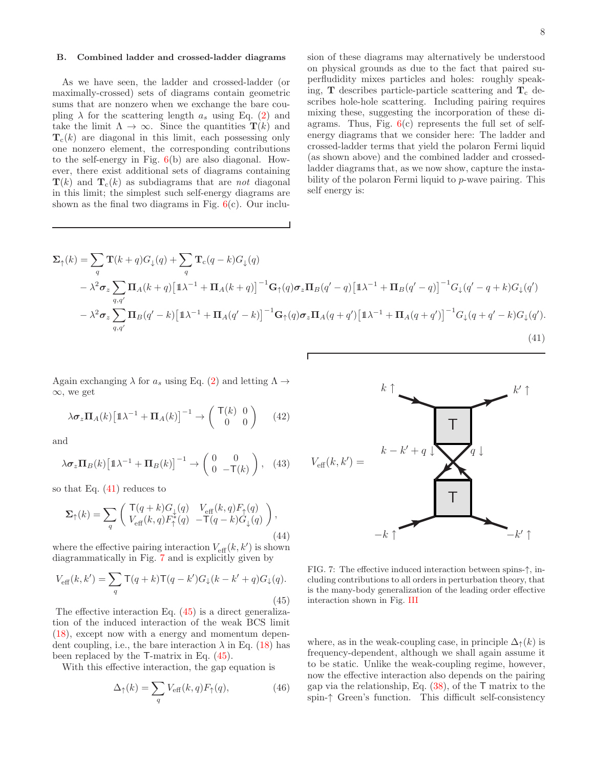#### B. Combined ladder and crossed-ladder diagrams

As we have seen, the ladder and crossed-ladder (or maximally-crossed) sets of diagrams contain geometric sums that are nonzero when we exchange the bare coupling  $\lambda$  for the scattering length  $a_s$  using Eq. [\(2\)](#page-3-2) and take the limit  $\Lambda \to \infty$ . Since the quantities  $\mathbf{T}(k)$  and  $T_c(k)$  are diagonal in this limit, each possessing only one nonzero element, the corresponding contributions to the self-energy in Fig.  $6(b)$  $6(b)$  are also diagonal. However, there exist additional sets of diagrams containing  $\mathbf{T}(k)$  and  $\mathbf{T}_c(k)$  as subdiagrams that are not diagonal in this limit; the simplest such self-energy diagrams are shown as the final two diagrams in Fig.  $6(c)$  $6(c)$ . Our inclusion of these diagrams may alternatively be understood on physical grounds as due to the fact that paired superfludidity mixes particles and holes: roughly speaking,  $T$  describes particle-particle scattering and  $T_c$  describes hole-hole scattering. Including pairing requires mixing these, suggesting the incorporation of these diagrams. Thus, Fig.  $6(c)$  $6(c)$  represents the full set of selfenergy diagrams that we consider here: The ladder and crossed-ladder terms that yield the polaron Fermi liquid (as shown above) and the combined ladder and crossedladder diagrams that, as we now show, capture the instability of the polaron Fermi liquid to p-wave pairing. This self energy is:

$$
\Sigma_{\uparrow}(k) = \sum_{q} \mathbf{T}(k+q)G_{\downarrow}(q) + \sum_{q} \mathbf{T}_{c}(q-k)G_{\downarrow}(q)
$$
  
\n
$$
- \lambda^{2} \sigma_{z} \sum_{q,q'} \mathbf{\Pi}_{A}(k+q) [\mathbb{1}\lambda^{-1} + \mathbf{\Pi}_{A}(k+q)]^{-1} \mathbf{G}_{\uparrow}(q) \sigma_{z} \mathbf{\Pi}_{B}(q'-q) [\mathbb{1}\lambda^{-1} + \mathbf{\Pi}_{B}(q'-q)]^{-1} G_{\downarrow}(q'-q+k)G_{\downarrow}(q')
$$
  
\n
$$
- \lambda^{2} \sigma_{z} \sum_{q,q'} \mathbf{\Pi}_{B}(q'-k) [\mathbb{1}\lambda^{-1} + \mathbf{\Pi}_{A}(q'-k)]^{-1} \mathbf{G}_{\uparrow}(q) \sigma_{z} \mathbf{\Pi}_{A}(q+q') [\mathbb{1}\lambda^{-1} + \mathbf{\Pi}_{A}(q+q')]^{-1} G_{\downarrow}(q+q'-k)G_{\downarrow}(q').
$$
\n(41)

Again exchanging  $\lambda$  for  $a_s$  using Eq. [\(2\)](#page-3-2) and letting  $\Lambda \rightarrow$ ∞, we get

$$
\lambda \sigma_z \Pi_A(k) \left[ \mathbb{1} \lambda^{-1} + \Pi_A(k) \right]^{-1} \to \begin{pmatrix} \mathsf{T}(k) & 0 \\ 0 & 0 \end{pmatrix} \tag{42}
$$

and

$$
\lambda \sigma_z \Pi_B(k) \left[ 1 \lambda^{-1} + \Pi_B(k) \right]^{-1} \to \begin{pmatrix} 0 & 0 \\ 0 & -\mathsf{T}(k) \end{pmatrix}, \quad (43)
$$

so that Eq. [\(41\)](#page-8-0) reduces to

<span id="page-8-3"></span>
$$
\Sigma_{\uparrow}(k) = \sum_{q} \begin{pmatrix} \mathsf{T}(q+k)G_{\downarrow}(q) & V_{\text{eff}}(k,q)F_{\uparrow}(q) \\ V_{\text{eff}}(k,q)F_{\uparrow}^{*}(q) & -\mathsf{T}(q-k)G_{\downarrow}(q) \end{pmatrix},\tag{44}
$$

where the effective pairing interaction  $V_{\text{eff}}(k, k')$  is shown diagrammatically in Fig. [7](#page-8-1) and is explicitly given by

<span id="page-8-2"></span>
$$
V_{\text{eff}}(k,k') = \sum_{q} \mathsf{T}(q+k)\mathsf{T}(q-k')G_{\downarrow}(k-k'+q)G_{\downarrow}(q). \tag{45}
$$

The effective interaction Eq. [\(45\)](#page-8-2) is a direct generalization of the induced interaction of the weak BCS limit [\(18\)](#page-5-1), except now with a energy and momentum dependent coupling, i.e., the bare interaction  $\lambda$  in Eq. [\(18\)](#page-5-1) has been replaced by the T-matrix in Eq. [\(45\)](#page-8-2).

With this effective interaction, the gap equation is

$$
\Delta_{\uparrow}(k) = \sum_{q} V_{\text{eff}}(k, q) F_{\uparrow}(q), \tag{46}
$$

<span id="page-8-0"></span>

<span id="page-8-1"></span>FIG. 7: The effective induced interaction between spins-↑, including contributions to all orders in perturbation theory, that is the many-body generalization of the leading order effective interaction shown in Fig. [III](#page-4-6)

where, as in the weak-coupling case, in principle  $\Delta_{\uparrow}(k)$  is frequency-dependent, although we shall again assume it to be static. Unlike the weak-coupling regime, however, now the effective interaction also depends on the pairing gap via the relationship, Eq. [\(38\)](#page-7-4), of the T matrix to the spin-↑ Green's function. This difficult self-consistency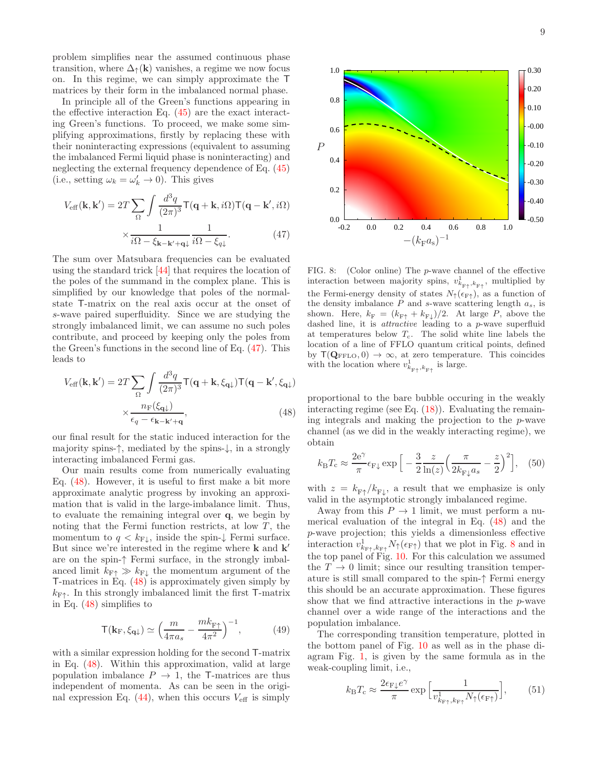problem simplifies near the assumed continuous phase transition, where  $\Delta_{\uparrow}(\mathbf{k})$  vanishes, a regime we now focus on. In this regime, we can simply approximate the T matrices by their form in the imbalanced normal phase.

In principle all of the Green's functions appearing in the effective interaction Eq. [\(45\)](#page-8-2) are the exact interacting Green's functions. To proceed, we make some simplifying approximations, firstly by replacing these with their noninteracting expressions (equivalent to assuming the imbalanced Fermi liquid phase is noninteracting) and neglecting the external frequency dependence of Eq. [\(45\)](#page-8-2) (i.e., setting  $\omega_k = \omega'_k \to 0$ ). This gives

<span id="page-9-1"></span>
$$
V_{\text{eff}}(\mathbf{k}, \mathbf{k}') = 2T \sum_{\Omega} \int \frac{d^3 q}{(2\pi)^3} \mathsf{T}(\mathbf{q} + \mathbf{k}, i\Omega) \mathsf{T}(\mathbf{q} - \mathbf{k}', i\Omega)
$$

$$
\times \frac{1}{i\Omega - \xi_{\mathbf{k} - \mathbf{k}' + \mathbf{q}\downarrow}} \frac{1}{i\Omega - \xi_{q\downarrow}}.
$$
(47)

The sum over Matsubara frequencies can be evaluated using the standard trick [\[44](#page-15-9)] that requires the location of the poles of the summand in the complex plane. This is simplified by our knowledge that poles of the normalstate T-matrix on the real axis occur at the onset of s-wave paired superfluidity. Since we are studying the strongly imbalanced limit, we can assume no such poles contribute, and proceed by keeping only the poles from the Green's functions in the second line of Eq. [\(47\)](#page-9-1). This leads to

<span id="page-9-2"></span>
$$
V_{\text{eff}}(\mathbf{k}, \mathbf{k}') = 2T \sum_{\Omega} \int \frac{d^3q}{(2\pi)^3} \mathsf{T}(\mathbf{q} + \mathbf{k}, \xi_{\mathbf{q}\downarrow}) \mathsf{T}(\mathbf{q} - \mathbf{k}', \xi_{\mathbf{q}\downarrow})
$$

$$
\times \frac{n_{\text{F}}(\xi_{\mathbf{q}\downarrow})}{\epsilon_q - \epsilon_{\mathbf{k} - \mathbf{k}' + \mathbf{q}}}, \tag{48}
$$

our final result for the static induced interaction for the majority spins-↑, mediated by the spins-↓, in a strongly interacting imbalanced Fermi gas.

Our main results come from numerically evaluating Eq. [\(48\)](#page-9-2). However, it is useful to first make a bit more approximate analytic progress by invoking an approximation that is valid in the large-imbalance limit. Thus, to evaluate the remaining integral over q, we begin by noting that the Fermi function restricts, at low  $T$ , the momentum to  $q < k_{\text{F}\downarrow}$ , inside the spin- $\downarrow$  Fermi surface. But since we're interested in the regime where **k** and **k**' are on the spin-↑ Fermi surface, in the strongly imbalanced limit  $k_{\text{F}\uparrow} \gg k_{\text{F}\downarrow}$  the momentum argument of the T-matrices in Eq. [\(48\)](#page-9-2) is approximately given simply by  $k_{\text{F}\uparrow}$ . In this strongly imbalanced limit the first T-matrix in Eq. [\(48\)](#page-9-2) simplifies to

$$
\mathsf{T}(\mathbf{k}_{\mathrm{F}}, \xi_{\mathbf{q}\downarrow}) \simeq \left(\frac{m}{4\pi a_s} - \frac{mk_{\mathrm{F}\uparrow}}{4\pi^2}\right)^{-1},\tag{49}
$$

with a similar expression holding for the second T-matrix in Eq. [\(48\)](#page-9-2). Within this approximation, valid at large population imbalance  $P \rightarrow 1$ , the T-matrices are thus independent of momenta. As can be seen in the original expression Eq.  $(44)$ , when this occurs  $V_{\text{eff}}$  is simply



<span id="page-9-0"></span>FIG. 8: (Color online) The p-wave channel of the effective interaction between majority spins,  $v^1_{k_{\text{F}\uparrow},k_{\text{F}\uparrow}}$ , multiplied by the Fermi-energy density of states  $N_{\uparrow}(\epsilon_{\text{F}\uparrow})$ , as a function of the density imbalance  $P$  and  $s$ -wave scattering length  $a_s$ , is shown. Here,  $k_F = (k_{F\uparrow} + k_{F\downarrow})/2$ . At large P, above the dashed line, it is attractive leading to a p-wave superfluid at temperatures below  $T_c$ . The solid white line labels the location of a line of FFLO quantum critical points, defined by  $T(Q_{\text{FFLO}}, 0) \rightarrow \infty$ , at zero temperature. This coincides with the location where  $v^1_{k_{\text{F}\uparrow},k_{\text{F}\uparrow}}$  is large.

proportional to the bare bubble occuring in the weakly interacting regime (see Eq.  $(18)$ ). Evaluating the remaining integrals and making the projection to the p-wave channel (as we did in the weakly interacting regime), we obtain

<span id="page-9-3"></span>
$$
k_{\rm B}T_{\rm c} \approx \frac{2e^{\gamma}}{\pi} \epsilon_{\rm F\downarrow} \exp\Big[-\frac{3}{2}\frac{z}{\ln(z)}\Big(\frac{\pi}{2k_{\rm F\downarrow}a_s} - \frac{z}{2}\Big)^2\Big], \quad (50)
$$

with  $z = k_{\text{F}\uparrow}/k_{\text{F}\downarrow}$ , a result that we emphasize is only valid in the asymptotic strongly imbalanced regime.

Away from this  $P \to 1$  limit, we must perform a numerical evaluation of the integral in Eq. [\(48\)](#page-9-2) and the p-wave projection; this yields a dimensionless effective interaction  $v^1_{k_{\text{F}\uparrow},k_{\text{F}\uparrow}}N_{\uparrow}(\epsilon_{\text{F}\uparrow})$  that we plot in Fig. [8](#page-9-0) and in the top panel of Fig. [10.](#page-11-1) For this calculation we assumed the  $T \to 0$  limit; since our resulting transition temperature is still small compared to the spin-↑ Fermi energy this should be an accurate approximation. These figures show that we find attractive interactions in the p-wave channel over a wide range of the interactions and the population imbalance.

The corresponding transition temperature, plotted in the bottom panel of Fig. [10](#page-11-1) as well as in the phase diagram Fig. [1,](#page-2-0) is given by the same formula as in the weak-coupling limit, i.e.,

<span id="page-9-4"></span>
$$
k_{\rm B}T_{\rm c} \approx \frac{2\epsilon_{\rm F\downarrow}e^{\gamma}}{\pi} \exp\Big[\frac{1}{v_{k_{\rm F\uparrow},k_{\rm F\uparrow}}^1} N_{\uparrow}(\epsilon_{\rm F\uparrow})\Big],\qquad(51)
$$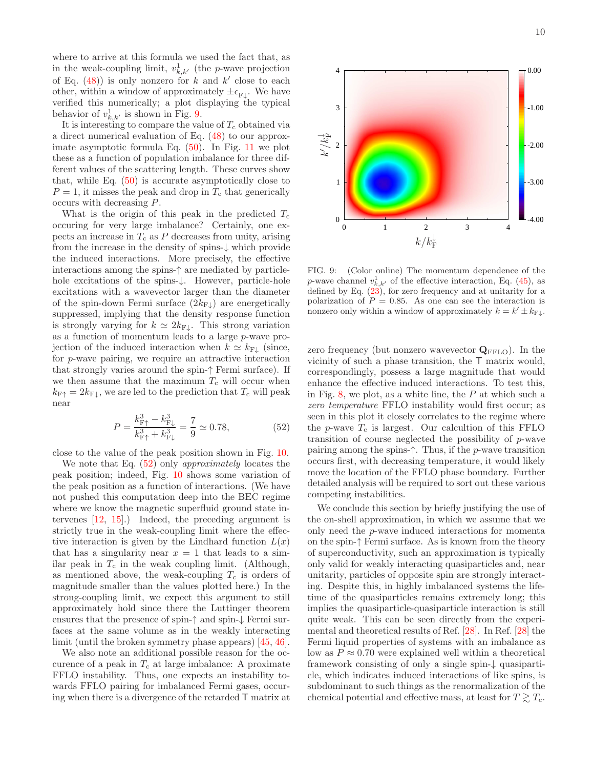where to arrive at this formula we used the fact that, as in the weak-coupling limit,  $v_{k,k'}^1$  (the *p*-wave projection of Eq. [\(48\)](#page-9-2)) is only nonzero for k and  $k'$  close to each other, within a window of approximately  $\pm \epsilon_{\mathbf{F}\downarrow}$ . We have verified this numerically; a plot displaying the typical behavior of  $v_{k,k'}^1$  is shown in Fig. [9.](#page-10-0)

It is interesting to compare the value of  $T_c$  obtained via a direct numerical evaluation of Eq. [\(48\)](#page-9-2) to our approximate asymptotic formula Eq. [\(50\)](#page-9-3). In Fig. [11](#page-11-2) we plot these as a function of population imbalance for three different values of the scattering length. These curves show that, while Eq. [\(50\)](#page-9-3) is accurate asymptotically close to  $P = 1$ , it misses the peak and drop in  $T_c$  that generically occurs with decreasing P.

What is the origin of this peak in the predicted  $T_c$ occuring for very large imbalance? Certainly, one expects an increase in  $T_c$  as  $P$  decreases from unity, arising from the increase in the density of spins-↓ which provide the induced interactions. More precisely, the effective interactions among the spins-↑ are mediated by particlehole excitations of the spins-↓. However, particle-hole excitations with a wavevector larger than the diameter of the spin-down Fermi surface  $(2k_{\text{F}\downarrow})$  are energetically suppressed, implying that the density response function is strongly varying for  $k \simeq 2k_{\rm F\downarrow}$ . This strong variation as a function of momentum leads to a large p-wave projection of the induced interaction when  $k \simeq k_{\rm F\downarrow}$  (since, for p-wave pairing, we require an attractive interaction that strongly varies around the spin-↑ Fermi surface). If we then assume that the maximum  $T_c$  will occur when  $k_{\text{F}\uparrow} = 2k_{\text{F}\downarrow}$ , we are led to the prediction that  $T_c$  will peak near

<span id="page-10-1"></span>
$$
P = \frac{k_{\rm F\uparrow}^3 - k_{\rm F\downarrow}^3}{k_{\rm F\uparrow}^3 + k_{\rm F\downarrow}^3} = \frac{7}{9} \simeq 0.78,\tag{52}
$$

close to the value of the peak position shown in Fig. [10.](#page-11-1)

We note that Eq.  $(52)$  only *approximately* locates the peak position; indeed, Fig. [10](#page-11-1) shows some variation of the peak position as a function of interactions. (We have not pushed this computation deep into the BEC regime where we know the magnetic superfluid ground state intervenes [\[12](#page-14-21), [15\]](#page-14-23).) Indeed, the preceding argument is strictly true in the weak-coupling limit where the effective interaction is given by the Lindhard function  $L(x)$ that has a singularity near  $x = 1$  that leads to a similar peak in  $T_c$  in the weak coupling limit. (Although, as mentioned above, the weak-coupling  $T_c$  is orders of magnitude smaller than the values plotted here.) In the strong-coupling limit, we expect this argument to still approximately hold since there the Luttinger theorem ensures that the presence of spin-↑ and spin-↓ Fermi surfaces at the same volume as in the weakly interacting limit (until the broken symmetry phase appears) [\[45](#page-15-10), [46\]](#page-15-11).

We also note an additional possible reason for the occurence of a peak in  $T_c$  at large imbalance: A proximate FFLO instability. Thus, one expects an instability towards FFLO pairing for imbalanced Fermi gases, occuring when there is a divergence of the retarded T matrix at



<span id="page-10-0"></span>FIG. 9: (Color online) The momentum dependence of the p-wave channel  $v_{k,k'}^1$  of the effective interaction, Eq. [\(45\)](#page-8-2), as defined by Eq. [\(23\)](#page-5-5), for zero frequency and at unitarity for a polarization of  $P = 0.85$ . As one can see the interaction is nonzero only within a window of approximately  $k = k' \pm k_{\text{F}\downarrow}$ .

zero frequency (but nonzero wavevector  $\mathbf{Q}_{\text{FFLO}}$ ). In the vicinity of such a phase transition, the T matrix would, correspondingly, possess a large magnitude that would enhance the effective induced interactions. To test this, in Fig.  $8$ , we plot, as a white line, the  $P$  at which such a zero temperature FFLO instability would first occur; as seen in this plot it closely correlates to the regime where the p-wave  $T_c$  is largest. Our calcultion of this FFLO transition of course neglected the possibility of p-wave pairing among the spins-↑. Thus, if the p-wave transition occurs first, with decreasing temperature, it would likely move the location of the FFLO phase boundary. Further detailed analysis will be required to sort out these various competing instabilities.

We conclude this section by briefly justifying the use of the on-shell approximation, in which we assume that we only need the p-wave induced interactions for momenta on the spin-↑ Fermi surface. As is known from the theory of superconductivity, such an approximation is typically only valid for weakly interacting quasiparticles and, near unitarity, particles of opposite spin are strongly interacting. Despite this, in highly imbalanced systems the lifetime of the quasiparticles remains extremely long; this implies the quasiparticle-quasiparticle interaction is still quite weak. This can be seen directly from the experimental and theoretical results of Ref. [\[28](#page-14-15)]. In Ref. [\[28](#page-14-15)] the Fermi liquid properties of systems with an imbalance as low as  $P \approx 0.70$  were explained well within a theoretical framework consisting of only a single spin-↓ quasiparticle, which indicates induced interactions of like spins, is subdominant to such things as the renormalization of the chemical potential and effective mass, at least for  $T \gtrsim T_c$ .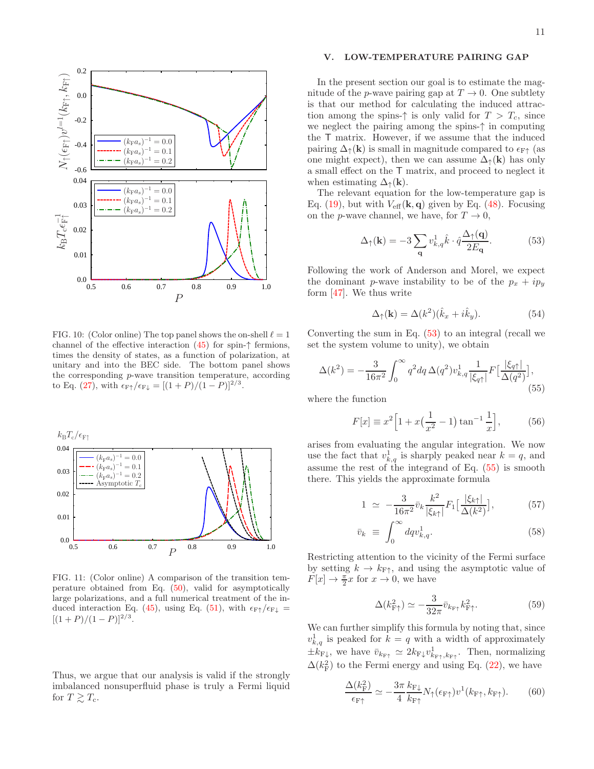

<span id="page-11-1"></span>FIG. 10: (Color online) The top panel shows the on-shell  $\ell = 1$ channel of the effective interaction  $(45)$  for spin- $\uparrow$  fermions, times the density of states, as a function of polarization, at unitary and into the BEC side. The bottom panel shows the corresponding p-wave transition temperature, according to Eq. [\(27\)](#page-5-3), with  $\epsilon_{\rm F\uparrow}/\epsilon_{\rm F\downarrow} = [(1+P)/(1-P)]^{2/3}$ .



<span id="page-11-2"></span>FIG. 11: (Color online) A comparison of the transition temperature obtained from Eq. [\(50\)](#page-9-3), valid for asymptotically large polarizations, and a full numerical treatment of the in-duced interaction Eq. [\(45\)](#page-8-2), using Eq. [\(51\)](#page-9-4), with  $\epsilon_{\text{F}\uparrow}/\epsilon_{\text{F}\downarrow}$  $[(1+P)/(1-P)]^{2/3}.$ 

Thus, we argue that our analysis is valid if the strongly imbalanced nonsuperfluid phase is truly a Fermi liquid for  $T \gtrsim T_{\rm c}$ .

# <span id="page-11-0"></span>V. LOW-TEMPERATURE PAIRING GAP

In the present section our goal is to estimate the magnitude of the *p*-wave pairing gap at  $T \to 0$ . One subtlety is that our method for calculating the induced attraction among the spins- $\uparrow$  is only valid for  $T > T_c$ , since we neglect the pairing among the spins-↑ in computing the T matrix. However, if we assume that the induced pairing  $\Delta_{\uparrow}(\mathbf{k})$  is small in magnitude compared to  $\epsilon_{\text{F}\uparrow}$  (as one might expect), then we can assume  $\Delta_{\uparrow}(\mathbf{k})$  has only a small effect on the T matrix, and proceed to neglect it when estimating  $\Delta_{\uparrow}(\mathbf{k})$ .

The relevant equation for the low-temperature gap is Eq. [\(19\)](#page-5-6), but with  $V_{\text{eff}}(\mathbf{k}, \mathbf{q})$  given by Eq. [\(48\)](#page-9-2). Focusing on the *p*-wave channel, we have, for  $T \to 0$ ,

<span id="page-11-3"></span>
$$
\Delta_{\uparrow}(\mathbf{k}) = -3 \sum_{\mathbf{q}} v_{k,q}^1 \hat{k} \cdot \hat{q} \frac{\Delta_{\uparrow}(\mathbf{q})}{2E_{\mathbf{q}}}.
$$
 (53)

Following the work of Anderson and Morel, we expect the dominant p-wave instability to be of the  $p_x + ip_y$ form [\[47](#page-15-12)]. We thus write

<span id="page-11-6"></span>
$$
\Delta_{\uparrow}(\mathbf{k}) = \Delta(k^2)(\hat{k}_x + i\hat{k}_y). \tag{54}
$$

Converting the sum in Eq.  $(53)$  to an integral (recall we set the system volume to unity), we obtain

<span id="page-11-4"></span>
$$
\Delta(k^2) = -\frac{3}{16\pi^2} \int_0^\infty q^2 dq \,\Delta(q^2) v_{k,q}^1 \frac{1}{|\xi_{q\uparrow}|} F\left[\frac{|\xi_{q\uparrow}|}{\Delta(q^2)}\right],\tag{55}
$$

where the function

$$
F[x] \equiv x^2 \Big[ 1 + x \big( \frac{1}{x^2} - 1 \big) \tan^{-1} \frac{1}{x} \Big],\tag{56}
$$

arises from evaluating the angular integration. We now use the fact that  $v_{k,q}^1$  is sharply peaked near  $k = q$ , and assume the rest of the integrand of Eq. [\(55\)](#page-11-4) is smooth there. This yields the approximate formula

$$
1 \simeq -\frac{3}{16\pi^2} \bar{v}_k \frac{k^2}{|\xi_{k\uparrow}|} F_1 \left[ \frac{|\xi_{k\uparrow}|}{\Delta(k^2)} \right], \tag{57}
$$

$$
\bar{v}_k \equiv \int_0^\infty dq v_{k,q}^1. \tag{58}
$$

Restricting attention to the vicinity of the Fermi surface by setting  $k \to k_{\text{F}\uparrow}$ , and using the asymptotic value of  $F[x] \to \frac{\pi}{2}x$  for  $x \to 0$ , we have

$$
\Delta(k_{\rm F\uparrow}^2) \simeq -\frac{3}{32\pi} \bar{v}_{k_{\rm F\uparrow}} k_{\rm F\uparrow}^2. \tag{59}
$$

We can further simplify this formula by noting that, since  $v_{k,q}$  is peaked for  $k = q$  with a width of approximately  $\pm k_{\rm F\downarrow}$ , we have  $\bar{v}_{k_{\rm F\uparrow}} \simeq 2k_{\rm F\downarrow}v_{k_{\rm F\uparrow},k_{\rm F\uparrow}}^1$ . Then, normalizing  $\Delta(k_{\rm F}^2)$  to the Fermi energy and using Eq. [\(22\)](#page-5-7), we have

<span id="page-11-5"></span>
$$
\frac{\Delta(k_{\rm F}^2)}{\epsilon_{\rm F\uparrow}} \simeq -\frac{3\pi}{4} \frac{k_{\rm F\downarrow}}{k_{\rm F\uparrow}} N_{\uparrow} (\epsilon_{\rm F\uparrow}) v^1(k_{\rm F\uparrow}, k_{\rm F\uparrow}). \tag{60}
$$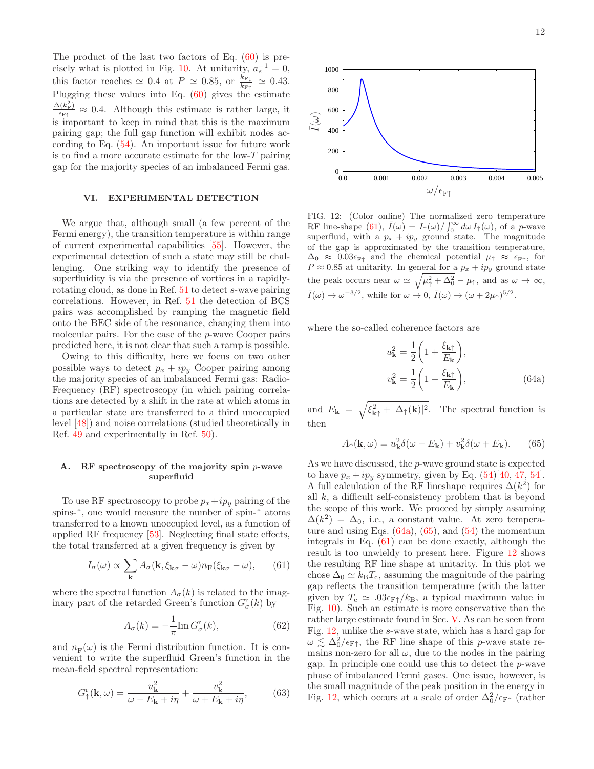The product of the last two factors of Eq. [\(60\)](#page-11-5) is pre-cisely what is plotted in Fig. [10.](#page-11-1) At unitarity,  $a_s^{-1} = 0$ , this factor reaches  $\simeq 0.4$  at  $P \simeq 0.85$ , or  $\frac{k_{\rm F\downarrow}}{k_{\rm F\uparrow}} \simeq 0.43$ . Plugging these values into Eq. [\(60\)](#page-11-5) gives the estimate  $\Delta(k_{\rm F}^{\rm 2})$  $\frac{\mu(E_F)}{\epsilon_{F\uparrow}} \approx 0.4$ . Although this estimate is rather large, it is important to keep in mind that this is the maximum pairing gap; the full gap function will exhibit nodes according to Eq. [\(54\)](#page-11-6). An important issue for future work is to find a more accurate estimate for the low-T pairing gap for the majority species of an imbalanced Fermi gas.

# <span id="page-12-0"></span>VI. EXPERIMENTAL DETECTION

We argue that, although small (a few percent of the Fermi energy), the transition temperature is within range of current experimental capabilities [\[55](#page-15-13)]. However, the experimental detection of such a state may still be challenging. One striking way to identify the presence of superfluidity is via the presence of vortices in a rapidlyrotating cloud, as done in Ref. [51](#page-15-14) to detect s-wave pairing correlations. However, in Ref. [51](#page-15-14) the detection of BCS pairs was accomplished by ramping the magnetic field onto the BEC side of the resonance, changing them into molecular pairs. For the case of the p-wave Cooper pairs predicted here, it is not clear that such a ramp is possible.

Owing to this difficulty, here we focus on two other possible ways to detect  $p_x + ip_y$  Cooper pairing among the majority species of an imbalanced Fermi gas: Radio-Frequency (RF) spectroscopy (in which pairing correlations are detected by a shift in the rate at which atoms in a particular state are transferred to a third unoccupied level [\[48](#page-15-15)]) and noise correlations (studied theoretically in Ref. [49](#page-15-16) and experimentally in Ref. [50\)](#page-15-17).

# A. RF spectroscopy of the majority spin  $p$ -wave superfluid

To use RF spectroscopy to probe  $p_x+ip_y$  pairing of the spins-↑, one would measure the number of spin-↑ atoms transferred to a known unoccupied level, as a function of applied RF frequency [\[53\]](#page-15-18). Neglecting final state effects, the total transferred at a given frequency is given by

<span id="page-12-1"></span>
$$
I_{\sigma}(\omega) \propto \sum_{\mathbf{k}} A_{\sigma}(\mathbf{k}, \xi_{\mathbf{k}\sigma} - \omega) n_{\text{F}}(\xi_{\mathbf{k}\sigma} - \omega), \qquad (61)
$$

where the spectral function  $A_{\sigma}(k)$  is related to the imaginary part of the retarded Green's function  $G_{\sigma}^{\rm r}(k)$  by

$$
A_{\sigma}(k) = -\frac{1}{\pi} \text{Im} \, G_{\sigma}^{\mathbf{r}}(k),\tag{62}
$$

and  $n_F(\omega)$  is the Fermi distribution function. It is convenient to write the superfluid Green's function in the mean-field spectral representation:

$$
G_{\uparrow}^{\mathrm{r}}(\mathbf{k},\omega) = \frac{u_{\mathbf{k}}^2}{\omega - E_{\mathbf{k}} + i\eta} + \frac{v_{\mathbf{k}}^2}{\omega + E_{\mathbf{k}} + i\eta},\qquad(63)
$$



<span id="page-12-4"></span>FIG. 12: (Color online) The normalized zero temperature RF line-shape [\(61\)](#page-12-1),  $\bar{I}(\omega) = I_{\uparrow}(\omega) / \int_0^{\infty} d\omega I_{\uparrow}(\omega)$ , of a p-wave superfluid, with a  $p_x + ip_y$  ground state. The magnitude of the gap is approximated by the transition temperature,  $\Delta_0 \approx 0.03 \epsilon_{\text{F}\uparrow}$  and the chemical potential  $\mu_{\uparrow} \approx \epsilon_{\text{F}\uparrow}$ , for  $P \approx 0.85$  at unitarity. In general for a  $p_x + ip_y$  ground state the peak occurs near  $\omega \simeq \sqrt{\mu_{\uparrow}^2 + \Delta_0^2} - \mu_{\uparrow}$ , and as  $\omega \to \infty$ ,  $\bar{I}(\omega) \to \omega^{-3/2}$ , while for  $\omega \to 0$ ,  $\bar{I}(\omega) \to (\omega + 2\mu_{\uparrow})^{5/2}$ .

where the so-called coherence factors are

<span id="page-12-2"></span>
$$
u_{\mathbf{k}}^2 = \frac{1}{2} \left( 1 + \frac{\xi_{\mathbf{k}\uparrow}}{E_{\mathbf{k}}} \right),
$$
  

$$
v_{\mathbf{k}}^2 = \frac{1}{2} \left( 1 - \frac{\xi_{\mathbf{k}\uparrow}}{E_{\mathbf{k}}} \right),
$$
 (64a)

and  $E_{\mathbf{k}} = \sqrt{\xi_{\mathbf{k}\uparrow}^2 + |\Delta_{\uparrow}(\mathbf{k})|^2}$ . The spectral function is then

<span id="page-12-3"></span>
$$
A_{\uparrow}(\mathbf{k}, \omega) = u_{\mathbf{k}}^2 \delta(\omega - E_{\mathbf{k}}) + v_{\mathbf{k}}^2 \delta(\omega + E_{\mathbf{k}}). \tag{65}
$$

As we have discussed, the p-wave ground state is expected to have  $p_x + ip_y$  symmetry, given by Eq. [\(54\)](#page-11-6)[\[40](#page-15-7), [47,](#page-15-12) [54\]](#page-15-19). A full calculation of the RF lineshape requires  $\Delta(k^2)$  for all  $k$ , a difficult self-consistency problem that is beyond the scope of this work. We proceed by simply assuming  $\Delta(k^2) = \Delta_0$ , i.e., a constant value. At zero temperature and using Eqs.  $(64a)$ ,  $(65)$ , and  $(54)$  the momentum integrals in Eq. [\(61\)](#page-12-1) can be done exactly, although the result is too unwieldy to present here. Figure [12](#page-12-4) shows the resulting RF line shape at unitarity. In this plot we chose  $\Delta_0 \simeq k_BT_c$ , assuming the magnitude of the pairing gap reflects the transition temperature (with the latter given by  $T_c \simeq .03\epsilon_{\text{F}\uparrow}/k_{\text{B}}$ , a typical maximum value in Fig. [10\)](#page-11-1). Such an estimate is more conservative than the rather large estimate found in Sec. [V.](#page-11-0) As can be seen from Fig. [12,](#page-12-4) unlike the s-wave state, which has a hard gap for  $\omega \lesssim \Delta_0^2/\epsilon_{\text{F}\uparrow}$ , the RF line shape of this p-wave state remains non-zero for all  $\omega$ , due to the nodes in the pairing gap. In principle one could use this to detect the p-wave phase of imbalanced Fermi gases. One issue, however, is the small magnitude of the peak position in the energy in Fig. [12,](#page-12-4) which occurs at a scale of order  $\Delta_0^2/\epsilon_{\text{F}\uparrow}$  (rather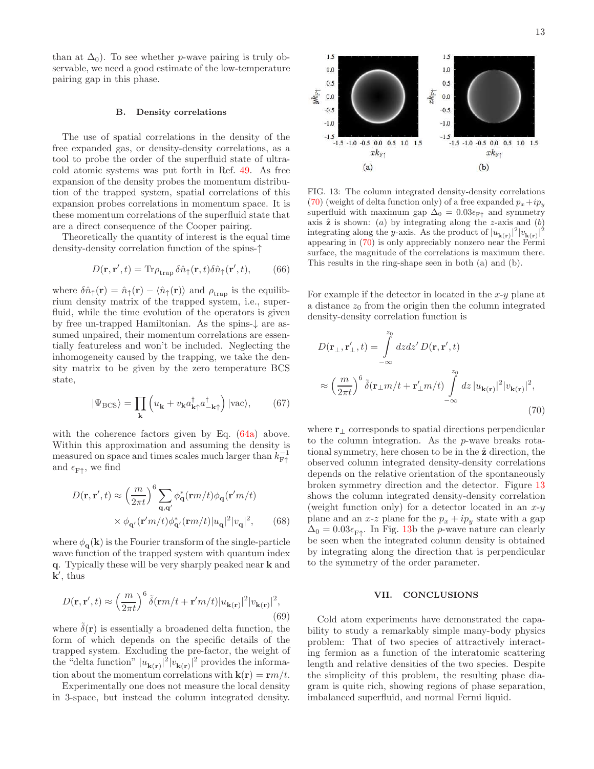than at  $\Delta_0$ ). To see whether *p*-wave pairing is truly observable, we need a good estimate of the low-temperature pairing gap in this phase.

#### B. Density correlations

The use of spatial correlations in the density of the free expanded gas, or density-density correlations, as a tool to probe the order of the superfluid state of ultracold atomic systems was put forth in Ref. [49](#page-15-16). As free expansion of the density probes the momentum distribution of the trapped system, spatial correlations of this expansion probes correlations in momentum space. It is these momentum correlations of the superfluid state that are a direct consequence of the Cooper pairing.

Theoretically the quantity of interest is the equal time density-density correlation function of the spins-↑

$$
D(\mathbf{r}, \mathbf{r}', t) = \text{Tr}\rho_{\text{trap}} \,\delta\hat{n}_{\uparrow}(\mathbf{r}, t)\delta\hat{n}_{\uparrow}(\mathbf{r}', t), \tag{66}
$$

where  $\delta \hat{n}_{\uparrow}(\mathbf{r}) = \hat{n}_{\uparrow}(\mathbf{r}) - \langle \hat{n}_{\uparrow}(\mathbf{r}) \rangle$  and  $\rho_{\text{trap}}$  is the equilibrium density matrix of the trapped system, i.e., superfluid, while the time evolution of the operators is given by free un-trapped Hamiltonian. As the spins-↓ are assumed unpaired, their momentum correlations are essentially featureless and won't be included. Neglecting the inhomogeneity caused by the trapping, we take the density matrix to be given by the zero temperature BCS state,

$$
|\Psi_{\rm BCS}\rangle = \prod_{\mathbf{k}} \left( u_{\mathbf{k}} + v_{\mathbf{k}} a_{\mathbf{k}\uparrow}^{\dagger} a_{-\mathbf{k}\uparrow}^{\dagger} \right) |\text{vac}\rangle, \tag{67}
$$

with the coherence factors given by Eq.  $(64a)$  above. Within this approximation and assuming the density is measured on space and times scales much larger than  $k_{\rm F\uparrow}^{-1}$ and  $\epsilon_{\mathrm{F}\uparrow}$ , we find

$$
D(\mathbf{r}, \mathbf{r}', t) \approx \left(\frac{m}{2\pi t}\right)^6 \sum_{\mathbf{q}, \mathbf{q}'} \phi_{\mathbf{q}}^*(\mathbf{r}m/t) \phi_{\mathbf{q}}(\mathbf{r}'m/t)
$$

$$
\times \phi_{\mathbf{q}'}(\mathbf{r}'m/t) \phi_{\mathbf{q}'}^*(\mathbf{r}m/t) |u_{\mathbf{q}}|^2 |v_{\mathbf{q}}|^2, \qquad (68)
$$

where  $\phi_{\bf q}({\bf k})$  is the Fourier transform of the single-particle wave function of the trapped system with quantum index q. Typically these will be very sharply peaked near k and k ′ , thus

$$
D(\mathbf{r}, \mathbf{r}', t) \approx \left(\frac{m}{2\pi t}\right)^6 \tilde{\delta}(\mathbf{r}m/t + \mathbf{r}'m/t)|u_{\mathbf{k}(\mathbf{r})}|^2 |v_{\mathbf{k}(\mathbf{r})}|^2,
$$
\n(69)

where  $\delta(\mathbf{r})$  is essentially a broadened delta function, the form of which depends on the specific details of the trapped system. Excluding the pre-factor, the weight of the "delta function"  $|u_{\mathbf{k}(\mathbf{r})}|^2 |v_{\mathbf{k}(\mathbf{r})}|^2$  provides the information about the momentum correlations with  $\mathbf{k}(\mathbf{r}) = \mathbf{r}m/t$ .

Experimentally one does not measure the local density in 3-space, but instead the column integrated density.



<span id="page-13-2"></span>FIG. 13: The column integrated density-density correlations [\(70\)](#page-13-1) (weight of delta function only) of a free expanded  $p_x+ip_y$ superfluid with maximum gap  $\Delta_0 = 0.03\epsilon_{F\uparrow}$  and symmetry axis  $\hat{z}$  is shown: (a) by integrating along the z-axis and (b) integrating along the y-axis. As the product of  $|u_{\mathbf{k}(\mathbf{r})}|^2 |v_{\mathbf{k}(\mathbf{r})}|^2$ appearing in [\(70\)](#page-13-1) is only appreciably nonzero near the Fermi surface, the magnitude of the correlations is maximum there. This results in the ring-shape seen in both (a) and (b).

For example if the detector in located in the  $x-y$  plane at a distance  $z_0$  from the origin then the column integrated density-density correlation function is

<span id="page-13-1"></span>
$$
D(\mathbf{r}_{\perp}, \mathbf{r}'_{\perp}, t) = \int_{-\infty}^{z_0} dz dz' D(\mathbf{r}, \mathbf{r}', t)
$$

$$
\approx \left(\frac{m}{2\pi t}\right)^6 \tilde{\delta}(\mathbf{r}_{\perp}m/t + \mathbf{r}'_{\perp}m/t) \int_{-\infty}^{z_0} dz |u_{\mathbf{k}(\mathbf{r})}|^2 |v_{\mathbf{k}(\mathbf{r})}|^2,
$$
(70)

where  $\mathbf{r}_{\perp}$  corresponds to spatial directions perpendicular to the column integration. As the p-wave breaks rotational symmetry, here chosen to be in the  $\hat{z}$  direction, the observed column integrated density-density correlations depends on the relative orientation of the spontaneously broken symmetry direction and the detector. Figure [13](#page-13-2) shows the column integrated density-density correlation (weight function only) for a detector located in an  $x-y$ plane and an x-z plane for the  $p_x + ip_y$  state with a gap  $\Delta_0 = 0.03\epsilon_{\text{F}\uparrow}$ . In Fig. [13b](#page-13-2) the *p*-wave nature can clearly be seen when the integrated column density is obtained by integrating along the direction that is perpendicular to the symmetry of the order parameter.

## <span id="page-13-0"></span>VII. CONCLUSIONS

Cold atom experiments have demonstrated the capability to study a remarkably simple many-body physics problem: That of two species of attractively interacting fermion as a function of the interatomic scattering length and relative densities of the two species. Despite the simplicity of this problem, the resulting phase diagram is quite rich, showing regions of phase separation, imbalanced superfluid, and normal Fermi liquid.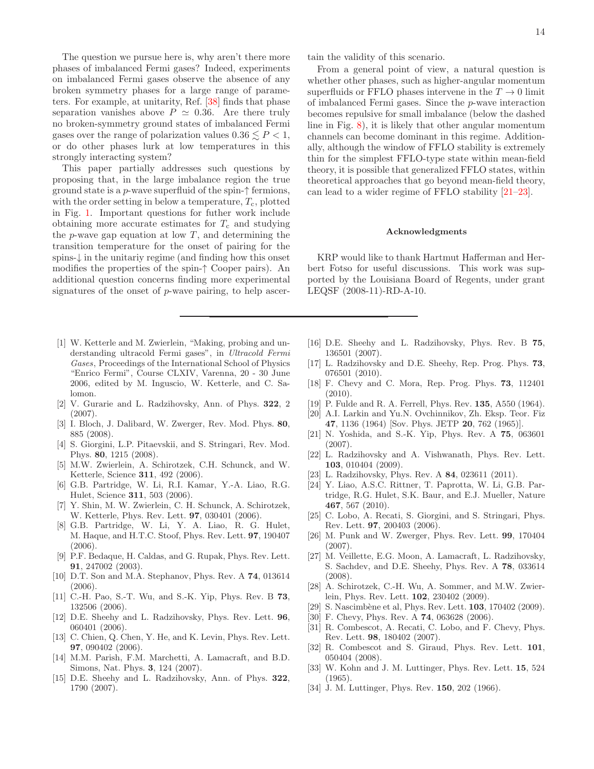The question we pursue here is, why aren't there more phases of imbalanced Fermi gases? Indeed, experiments on imbalanced Fermi gases observe the absence of any broken symmetry phases for a large range of parameters. For example, at unitarity, Ref. [\[38](#page-15-5)] finds that phase separation vanishes above  $P \simeq 0.36$ . Are there truly no broken-symmetry ground states of imbalanced Fermi gases over the range of polarization values  $0.36 \leq P < 1$ , or do other phases lurk at low temperatures in this strongly interacting system?

This paper partially addresses such questions by proposing that, in the large imbalance region the true ground state is a p-wave superfluid of the spin- $\uparrow$  fermions, with the order setting in below a temperature,  $T_c$ , plotted in Fig. [1.](#page-2-0) Important questions for futher work include obtaining more accurate estimates for  $T_c$  and studying the  $p$ -wave gap equation at low  $T$ , and determining the transition temperature for the onset of pairing for the spins-↓ in the unitariy regime (and finding how this onset modifies the properties of the spin-↑ Cooper pairs). An additional question concerns finding more experimental signatures of the onset of p-wave pairing, to help ascer-

- <span id="page-14-0"></span>[1] W. Ketterle and M. Zwierlein, "Making, probing and understanding ultracold Fermi gases", in Ultracold Fermi Gases, Proceedings of the International School of Physics "Enrico Fermi", Course CLXIV, Varenna, 20 - 30 June 2006, edited by M. Inguscio, W. Ketterle, and C. Salomon.
- <span id="page-14-24"></span>[2] V. Gurarie and L. Radzihovsky, Ann. of Phys. 322, 2 (2007).
- [3] I. Bloch, J. Dalibard, W. Zwerger, Rev. Mod. Phys. 80, 885 (2008).
- <span id="page-14-1"></span>[4] S. Giorgini, L.P. Pitaevskii, and S. Stringari, Rev. Mod. Phys. 80, 1215 (2008).
- <span id="page-14-2"></span>[5] M.W. Zwierlein, A. Schirotzek, C.H. Schunck, and W. Ketterle, Science 311, 492 (2006).
- [6] G.B. Partridge, W. Li, R.I. Kamar, Y.-A. Liao, R.G. Hulet, Science 311, 503 (2006).
- [7] Y. Shin, M. W. Zwierlein, C. H. Schunck, A. Schirotzek, W. Ketterle, Phys. Rev. Lett. 97, 030401 (2006).
- <span id="page-14-3"></span>[8] G.B. Partridge, W. Li, Y. A. Liao, R. G. Hulet, M. Haque, and H.T.C. Stoof, Phys. Rev. Lett. 97, 190407 (2006).
- <span id="page-14-4"></span>[9] P.F. Bedaque, H. Caldas, and G. Rupak, Phys. Rev. Lett. 91, 247002 (2003).
- [10] D.T. Son and M.A. Stephanov, Phys. Rev. A 74, 013614 (2006).
- [11] C.-H. Pao, S.-T. Wu, and S.-K. Yip, Phys. Rev. B 73, 132506 (2006).
- <span id="page-14-21"></span>[12] D.E. Sheehy and L. Radzihovsky, Phys. Rev. Lett. 96, 060401 (2006).
- [13] C. Chien, Q. Chen, Y. He, and K. Levin, Phys. Rev. Lett. 97, 090402 (2006).
- <span id="page-14-22"></span>[14] M.M. Parish, F.M. Marchetti, A. Lamacraft, and B.D. Simons, Nat. Phys. 3, 124 (2007).
- <span id="page-14-23"></span>[15] D.E. Sheehy and L. Radzihovsky, Ann. of Phys. 322, 1790 (2007).

tain the validity of this scenario.

From a general point of view, a natural question is whether other phases, such as higher-angular momentum superfluids or FFLO phases intervene in the  $T \to 0$  limit of imbalanced Fermi gases. Since the p-wave interaction becomes repulsive for small imbalance (below the dashed line in Fig. [8\)](#page-9-0), it is likely that other angular momentum channels can become dominant in this regime. Additionally, although the window of FFLO stability is extremely thin for the simplest FFLO-type state within mean-field theory, it is possible that generalized FFLO states, within theoretical approaches that go beyond mean-field theory, can lead to a wider regime of FFLO stability [\[21](#page-14-10)[–23](#page-14-11)].

#### Acknowledgments

KRP would like to thank Hartmut Hafferman and Herbert Fotso for useful discussions. This work was supported by the Louisiana Board of Regents, under grant LEQSF (2008-11)-RD-A-10.

- <span id="page-14-5"></span>[16] D.E. Sheehy and L. Radzihovsky, Phys. Rev. B 75, 136501 (2007).
- <span id="page-14-6"></span>[17] L. Radzihovsky and D.E. Sheehy, Rep. Prog. Phys. 73, 076501 (2010).
- <span id="page-14-7"></span>[18] F. Chevy and C. Mora, Rep. Prog. Phys. 73, 112401  $(2010).$
- <span id="page-14-8"></span>[19] P. Fulde and R. A. Ferrell, Phys. Rev. 135, A550 (1964).
- <span id="page-14-9"></span>[20] A.I. Larkin and Yu.N. Ovchinnikov, Zh. Eksp. Teor. Fiz 47, 1136 (1964) [Sov. Phys. JETP 20, 762 (1965)].
- <span id="page-14-10"></span>[21] N. Yoshida, and S.-K. Yip, Phys. Rev. A 75, 063601 (2007).
- [22] L. Radzihovsky and A. Vishwanath, Phys. Rev. Lett. 103, 010404 (2009).
- <span id="page-14-11"></span>[23] L. Radzihovsky, Phys. Rev. A 84, 023611 (2011).
- <span id="page-14-12"></span>[24] Y. Liao, A.S.C. Rittner, T. Paprotta, W. Li, G.B. Partridge, R.G. Hulet, S.K. Baur, and E.J. Mueller, Nature 467, 567 (2010).
- <span id="page-14-13"></span>[25] C. Lobo, A. Recati, S. Giorgini, and S. Stringari, Phys. Rev. Lett. 97, 200403 (2006).
- <span id="page-14-25"></span>[26] M. Punk and W. Zwerger, Phys. Rev. Lett. 99, 170404 (2007).
- <span id="page-14-14"></span>[27] M. Veillette, E.G. Moon, A. Lamacraft, L. Radzihovsky, S. Sachdev, and D.E. Sheehy, Phys. Rev. A 78, 033614 (2008).
- <span id="page-14-15"></span>[28] A. Schirotzek, C.-H. Wu, A. Sommer, and M.W. Zwierlein, Phys. Rev. Lett. 102, 230402 (2009).
- <span id="page-14-16"></span>[29] S. Nascimbène et al, Phys. Rev. Lett. **103**, 170402 (2009).
- <span id="page-14-17"></span>[30] F. Chevy, Phys. Rev. A **74**, 063628 (2006).
- <span id="page-14-26"></span>[31] R. Combescot, A. Recati, C. Lobo, and F. Chevy, Phys. Rev. Lett. 98, 180402 (2007).
- <span id="page-14-18"></span>[32] R. Combescot and S. Giraud, Phys. Rev. Lett. 101, 050404 (2008).
- <span id="page-14-19"></span>[33] W. Kohn and J. M. Luttinger, Phys. Rev. Lett. **15**, 524 (1965).
- <span id="page-14-20"></span>[34] J. M. Luttinger, Phys. Rev. **150**, 202 (1966).